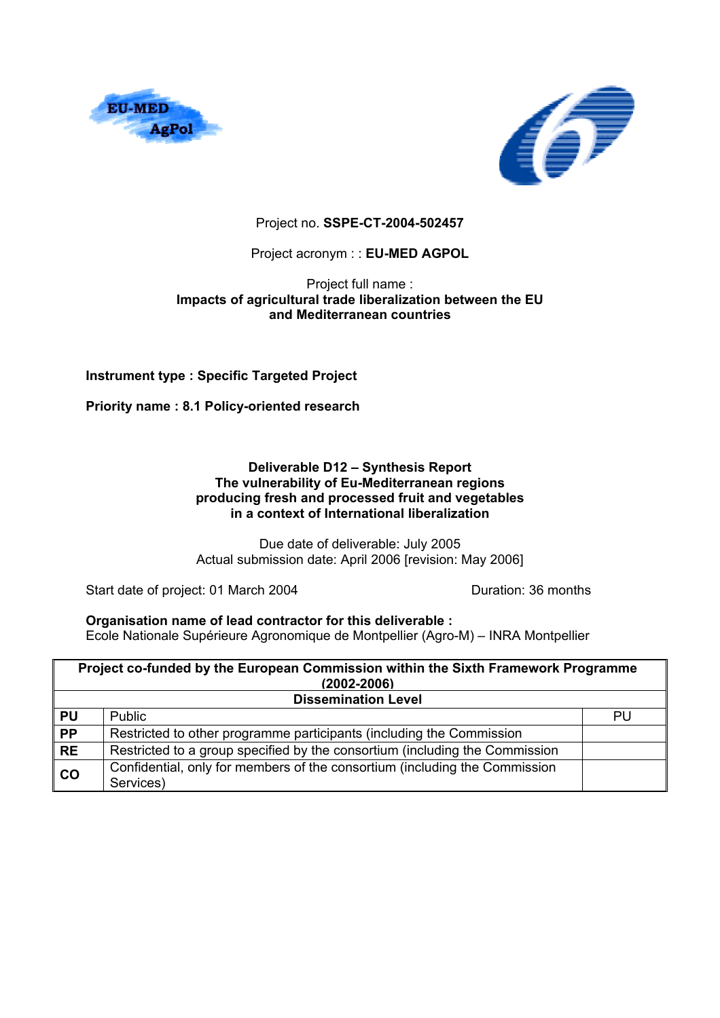



### Project no. **SSPE-CT-2004-502457**

### Project acronym : : **EU-MED AGPOL**

#### Project full name : **Impacts of agricultural trade liberalization between the EU and Mediterranean countries**

### **Instrument type : Specific Targeted Project**

**Priority name : 8.1 Policy-oriented research** 

#### **Deliverable D12 – Synthesis Report The vulnerability of Eu-Mediterranean regions producing fresh and processed fruit and vegetables in a context of International liberalization**

Due date of deliverable: July 2005 Actual submission date: April 2006 [revision: May 2006]

Start date of project: 01 March 2004 Duration: 36 months

#### **Organisation name of lead contractor for this deliverable :**

Ecole Nationale Supérieure Agronomique de Montpellier (Agro-M) – INRA Montpellier

|                 | Project co-funded by the European Commission within the Sixth Framework Programme<br>$(2002 - 2006)$ |    |  |  |  |  |  |  |
|-----------------|------------------------------------------------------------------------------------------------------|----|--|--|--|--|--|--|
|                 | <b>Dissemination Level</b>                                                                           |    |  |  |  |  |  |  |
| <b>PU</b>       | <b>Public</b>                                                                                        | PU |  |  |  |  |  |  |
| $\overline{PP}$ | Restricted to other programme participants (including the Commission                                 |    |  |  |  |  |  |  |
| <b>RE</b>       | Restricted to a group specified by the consortium (including the Commission                          |    |  |  |  |  |  |  |
| CO              | Confidential, only for members of the consortium (including the Commission<br>Services)              |    |  |  |  |  |  |  |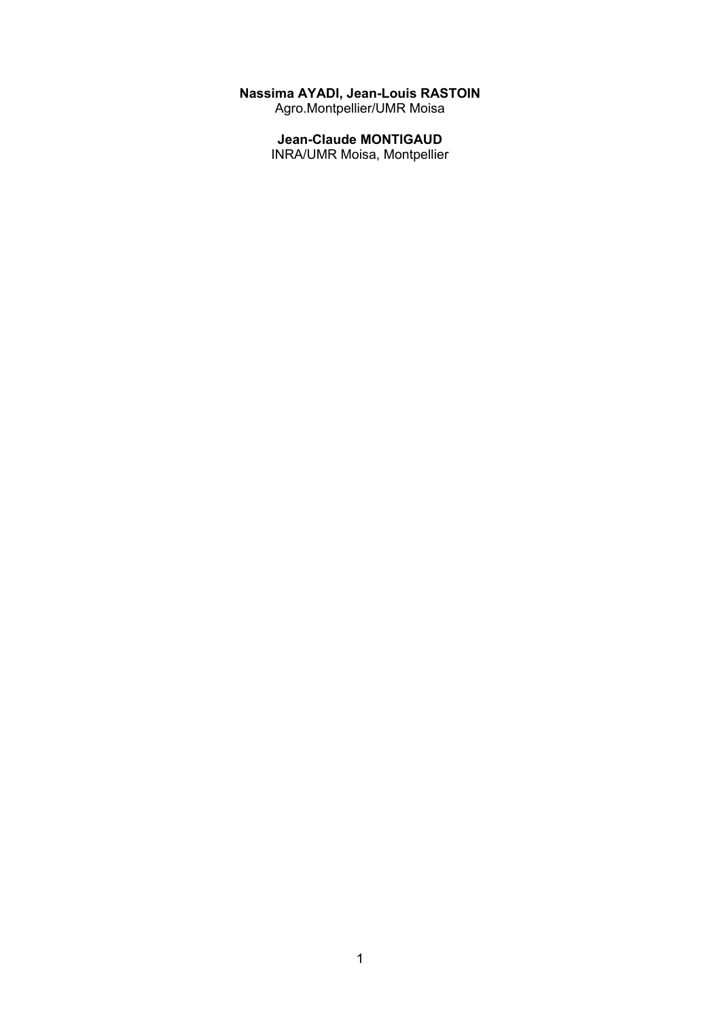#### **Nassima AYADI, Jean-Louis RASTOIN**

Agro.Montpellier/UMR Moisa

# **Jean-Claude MONTIGAUD**

INRA/UMR Moisa, Montpellier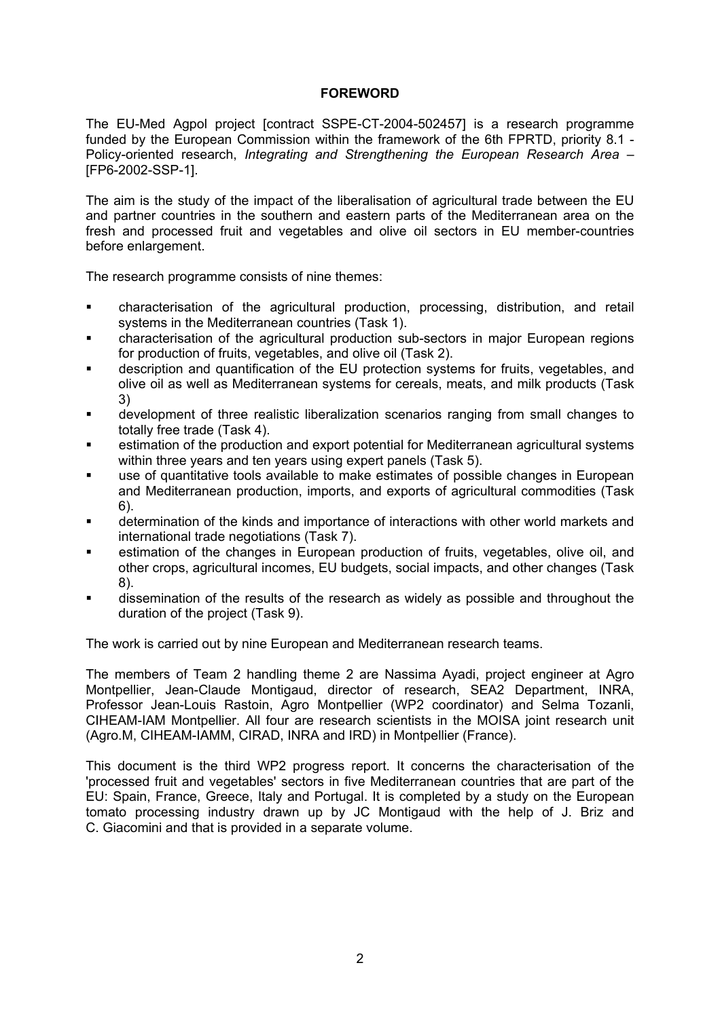### **FOREWORD**

The EU-Med Agpol project [contract SSPE-CT-2004-502457] is a research programme funded by the European Commission within the framework of the 6th FPRTD, priority 8.1 - Policy-oriented research, *Integrating and Strengthening the European Research Area* – [FP6-2002-SSP-1].

The aim is the study of the impact of the liberalisation of agricultural trade between the EU and partner countries in the southern and eastern parts of the Mediterranean area on the fresh and processed fruit and vegetables and olive oil sectors in EU member-countries before enlargement.

The research programme consists of nine themes:

- characterisation of the agricultural production, processing, distribution, and retail systems in the Mediterranean countries (Task 1).
- characterisation of the agricultural production sub-sectors in major European regions for production of fruits, vegetables, and olive oil (Task 2).
- description and quantification of the EU protection systems for fruits, vegetables, and olive oil as well as Mediterranean systems for cereals, meats, and milk products (Task 3)
- development of three realistic liberalization scenarios ranging from small changes to totally free trade (Task 4).
- estimation of the production and export potential for Mediterranean agricultural systems within three years and ten years using expert panels (Task 5).
- use of quantitative tools available to make estimates of possible changes in European and Mediterranean production, imports, and exports of agricultural commodities (Task 6).
- determination of the kinds and importance of interactions with other world markets and international trade negotiations (Task 7).
- estimation of the changes in European production of fruits, vegetables, olive oil, and other crops, agricultural incomes, EU budgets, social impacts, and other changes (Task 8).
- dissemination of the results of the research as widely as possible and throughout the duration of the project (Task 9).

The work is carried out by nine European and Mediterranean research teams.

The members of Team 2 handling theme 2 are Nassima Ayadi, project engineer at Agro Montpellier, Jean-Claude Montigaud, director of research, SEA2 Department, INRA, Professor Jean-Louis Rastoin, Agro Montpellier (WP2 coordinator) and Selma Tozanli, CIHEAM-IAM Montpellier. All four are research scientists in the MOISA joint research unit (Agro.M, CIHEAM-IAMM, CIRAD, INRA and IRD) in Montpellier (France).

This document is the third WP2 progress report. It concerns the characterisation of the 'processed fruit and vegetables' sectors in five Mediterranean countries that are part of the EU: Spain, France, Greece, Italy and Portugal. It is completed by a study on the European tomato processing industry drawn up by JC Montigaud with the help of J. Briz and C. Giacomini and that is provided in a separate volume.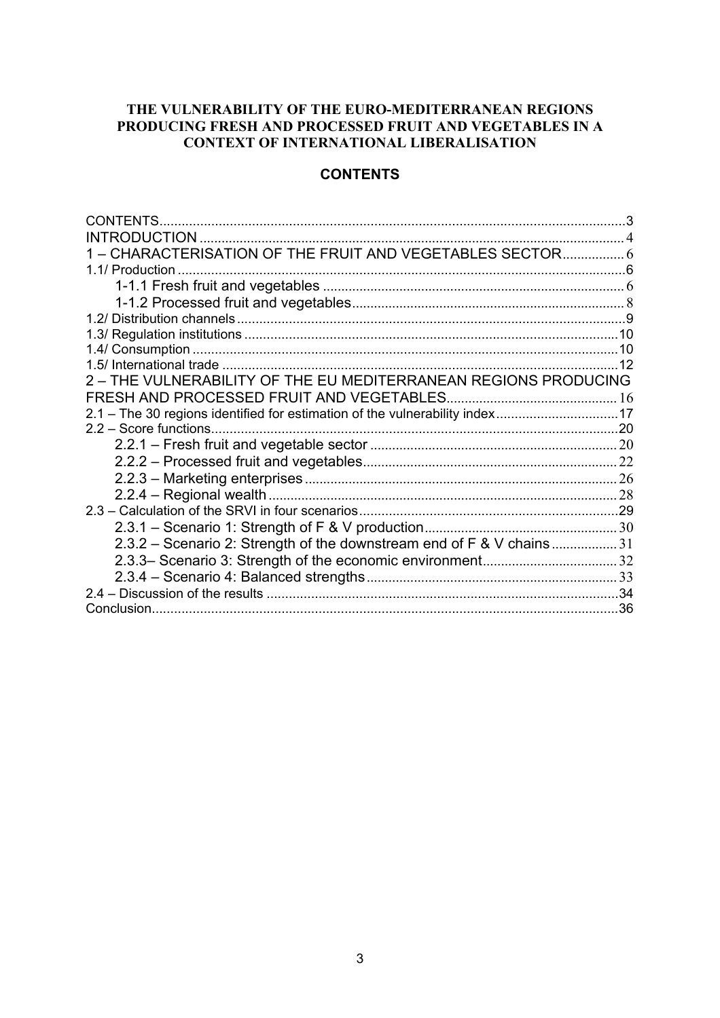# **THE VULNERABILITY OF THE EURO-MEDITERRANEAN REGIONS PRODUCING FRESH AND PROCESSED FRUIT AND VEGETABLES IN A CONTEXT OF INTERNATIONAL LIBERALISATION**

# **CONTENTS**

| CONTENTS                                                                    |  |
|-----------------------------------------------------------------------------|--|
| INTRODUCTION                                                                |  |
|                                                                             |  |
| 1.1/ Production                                                             |  |
|                                                                             |  |
|                                                                             |  |
|                                                                             |  |
|                                                                             |  |
|                                                                             |  |
|                                                                             |  |
| 2 - THE VULNERABILITY OF THE EU MEDITERRANEAN REGIONS PRODUCING             |  |
|                                                                             |  |
| 2.1 – The 30 regions identified for estimation of the vulnerability index17 |  |
|                                                                             |  |
|                                                                             |  |
|                                                                             |  |
|                                                                             |  |
|                                                                             |  |
|                                                                             |  |
|                                                                             |  |
| 2.3.2 – Scenario 2: Strength of the downstream end of F & V chains 31       |  |
|                                                                             |  |
|                                                                             |  |
|                                                                             |  |
|                                                                             |  |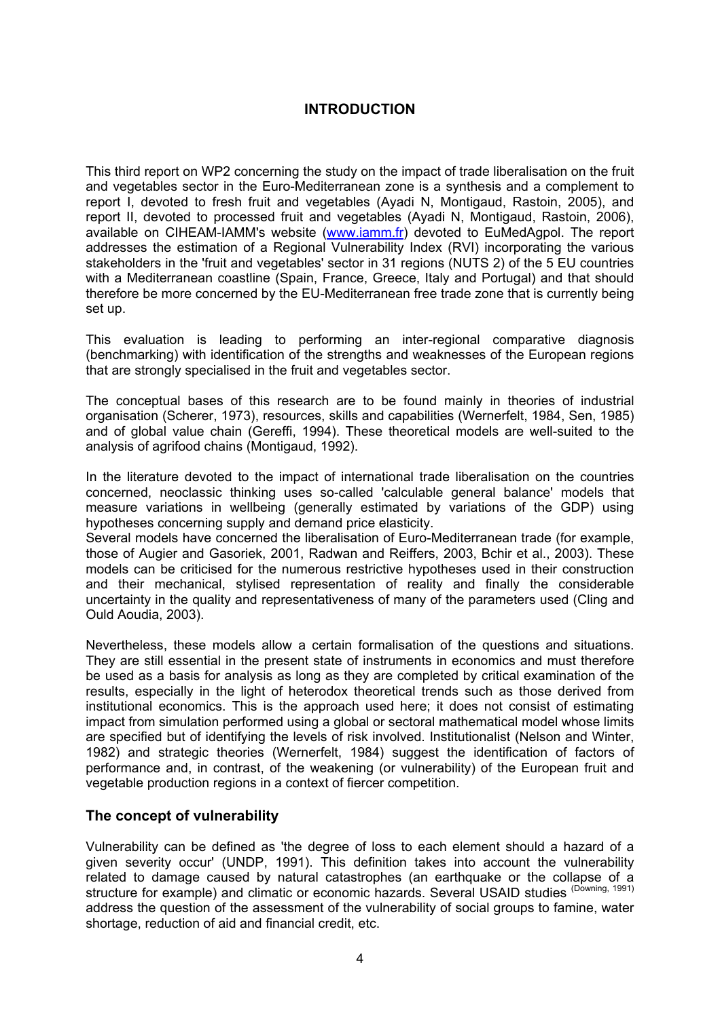# **INTRODUCTION**

This third report on WP2 concerning the study on the impact of trade liberalisation on the fruit and vegetables sector in the Euro-Mediterranean zone is a synthesis and a complement to report I, devoted to fresh fruit and vegetables (Ayadi N, Montigaud, Rastoin, 2005), and report II, devoted to processed fruit and vegetables (Ayadi N, Montigaud, Rastoin, 2006), available on CIHEAM-IAMM's website (www.iamm.fr) devoted to EuMedAgpol. The report addresses the estimation of a Regional Vulnerability Index (RVI) incorporating the various stakeholders in the 'fruit and vegetables' sector in 31 regions (NUTS 2) of the 5 EU countries with a Mediterranean coastline (Spain, France, Greece, Italy and Portugal) and that should therefore be more concerned by the EU-Mediterranean free trade zone that is currently being set up.

This evaluation is leading to performing an inter-regional comparative diagnosis (benchmarking) with identification of the strengths and weaknesses of the European regions that are strongly specialised in the fruit and vegetables sector.

The conceptual bases of this research are to be found mainly in theories of industrial organisation (Scherer, 1973), resources, skills and capabilities (Wernerfelt, 1984, Sen, 1985) and of global value chain (Gereffi, 1994). These theoretical models are well-suited to the analysis of agrifood chains (Montigaud, 1992).

In the literature devoted to the impact of international trade liberalisation on the countries concerned, neoclassic thinking uses so-called 'calculable general balance' models that measure variations in wellbeing (generally estimated by variations of the GDP) using hypotheses concerning supply and demand price elasticity.

Several models have concerned the liberalisation of Euro-Mediterranean trade (for example, those of Augier and Gasoriek, 2001, Radwan and Reiffers, 2003, Bchir et al., 2003). These models can be criticised for the numerous restrictive hypotheses used in their construction and their mechanical, stylised representation of reality and finally the considerable uncertainty in the quality and representativeness of many of the parameters used (Cling and Ould Aoudia, 2003).

Nevertheless, these models allow a certain formalisation of the questions and situations. They are still essential in the present state of instruments in economics and must therefore be used as a basis for analysis as long as they are completed by critical examination of the results, especially in the light of heterodox theoretical trends such as those derived from institutional economics. This is the approach used here; it does not consist of estimating impact from simulation performed using a global or sectoral mathematical model whose limits are specified but of identifying the levels of risk involved. Institutionalist (Nelson and Winter, 1982) and strategic theories (Wernerfelt, 1984) suggest the identification of factors of performance and, in contrast, of the weakening (or vulnerability) of the European fruit and vegetable production regions in a context of fiercer competition.

# **The concept of vulnerability**

Vulnerability can be defined as 'the degree of loss to each element should a hazard of a given severity occur' (UNDP, 1991). This definition takes into account the vulnerability related to damage caused by natural catastrophes (an earthquake or the collapse of a structure for example) and climatic or economic hazards. Several USAID studies (Downing, 1991) address the question of the assessment of the vulnerability of social groups to famine, water shortage, reduction of aid and financial credit, etc.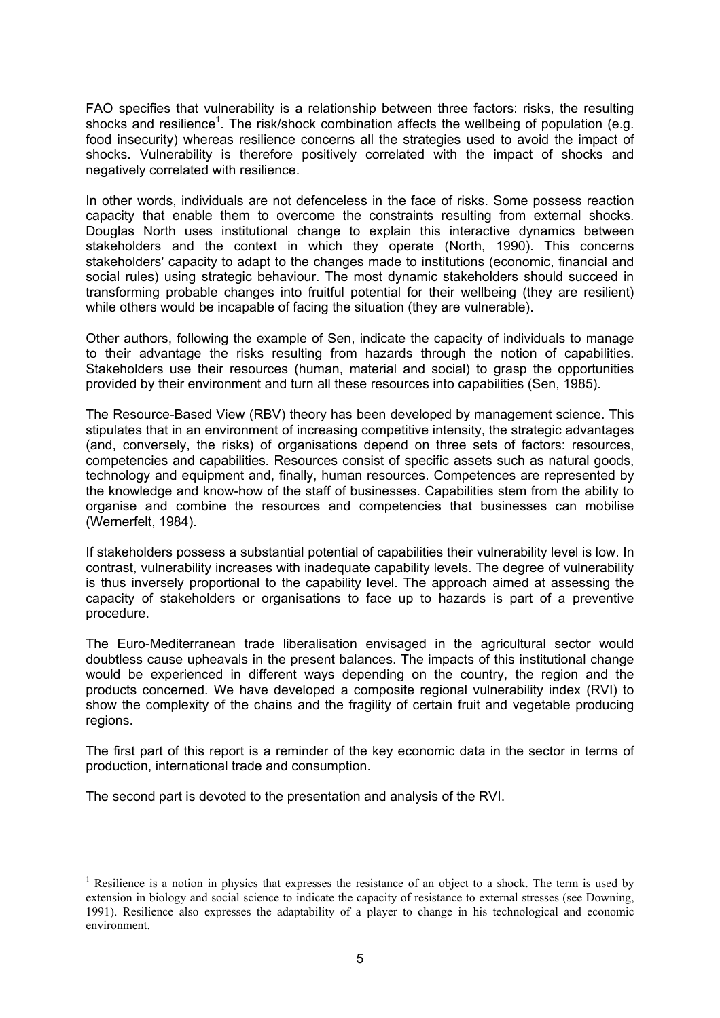FAO specifies that vulnerability is a relationship between three factors: risks, the resulting shocks and resilience<sup>1</sup>. The risk/shock combination affects the wellbeing of population (e.g. food insecurity) whereas resilience concerns all the strategies used to avoid the impact of shocks. Vulnerability is therefore positively correlated with the impact of shocks and negatively correlated with resilience.

In other words, individuals are not defenceless in the face of risks. Some possess reaction capacity that enable them to overcome the constraints resulting from external shocks. Douglas North uses institutional change to explain this interactive dynamics between stakeholders and the context in which they operate (North, 1990). This concerns stakeholders' capacity to adapt to the changes made to institutions (economic, financial and social rules) using strategic behaviour. The most dynamic stakeholders should succeed in transforming probable changes into fruitful potential for their wellbeing (they are resilient) while others would be incapable of facing the situation (they are vulnerable).

Other authors, following the example of Sen, indicate the capacity of individuals to manage to their advantage the risks resulting from hazards through the notion of capabilities. Stakeholders use their resources (human, material and social) to grasp the opportunities provided by their environment and turn all these resources into capabilities (Sen, 1985).

The Resource-Based View (RBV) theory has been developed by management science. This stipulates that in an environment of increasing competitive intensity, the strategic advantages (and, conversely, the risks) of organisations depend on three sets of factors: resources, competencies and capabilities*.* Resources consist of specific assets such as natural goods, technology and equipment and, finally, human resources. Competences are represented by the knowledge and know-how of the staff of businesses. Capabilities stem from the ability to organise and combine the resources and competencies that businesses can mobilise (Wernerfelt, 1984).

If stakeholders possess a substantial potential of capabilities their vulnerability level is low. In contrast, vulnerability increases with inadequate capability levels. The degree of vulnerability is thus inversely proportional to the capability level. The approach aimed at assessing the capacity of stakeholders or organisations to face up to hazards is part of a preventive procedure.

The Euro-Mediterranean trade liberalisation envisaged in the agricultural sector would doubtless cause upheavals in the present balances. The impacts of this institutional change would be experienced in different ways depending on the country, the region and the products concerned. We have developed a composite regional vulnerability index (RVI) to show the complexity of the chains and the fragility of certain fruit and vegetable producing regions.

The first part of this report is a reminder of the key economic data in the sector in terms of production, international trade and consumption.

The second part is devoted to the presentation and analysis of the RVI.

 $\overline{a}$ 

<sup>&</sup>lt;sup>1</sup> Resilience is a notion in physics that expresses the resistance of an object to a shock. The term is used by extension in biology and social science to indicate the capacity of resistance to external stresses (see Downing, 1991). Resilience also expresses the adaptability of a player to change in his technological and economic environment.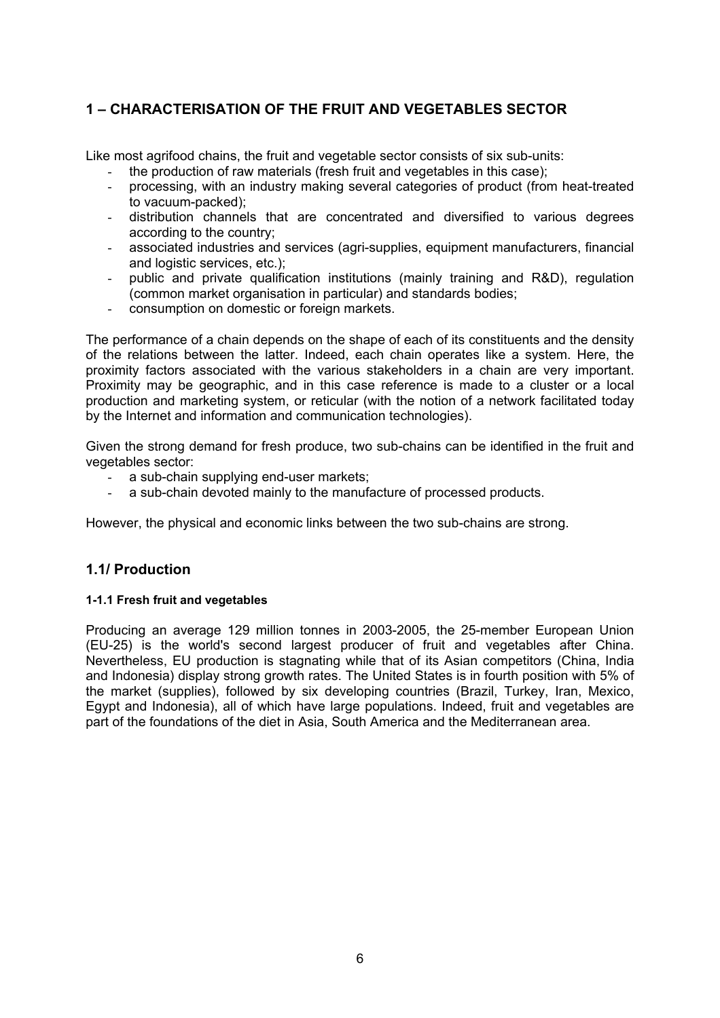# **1 – CHARACTERISATION OF THE FRUIT AND VEGETABLES SECTOR**

Like most agrifood chains, the fruit and vegetable sector consists of six sub-units:

- the production of raw materials (fresh fruit and vegetables in this case);
- processing, with an industry making several categories of product (from heat-treated to vacuum-packed);
- distribution channels that are concentrated and diversified to various degrees according to the country;
- associated industries and services (agri-supplies, equipment manufacturers, financial and logistic services, etc.);
- public and private qualification institutions (mainly training and R&D), regulation (common market organisation in particular) and standards bodies;
- consumption on domestic or foreign markets.

The performance of a chain depends on the shape of each of its constituents and the density of the relations between the latter. Indeed, each chain operates like a system. Here, the proximity factors associated with the various stakeholders in a chain are very important. Proximity may be geographic, and in this case reference is made to a cluster or a local production and marketing system, or reticular (with the notion of a network facilitated today by the Internet and information and communication technologies).

Given the strong demand for fresh produce, two sub-chains can be identified in the fruit and vegetables sector:

- a sub-chain supplying end-user markets;
- a sub-chain devoted mainly to the manufacture of processed products.

However, the physical and economic links between the two sub-chains are strong.

# **1.1/ Production**

#### **1-1.1 Fresh fruit and vegetables**

Producing an average 129 million tonnes in 2003-2005, the 25-member European Union (EU-25) is the world's second largest producer of fruit and vegetables after China. Nevertheless, EU production is stagnating while that of its Asian competitors (China, India and Indonesia) display strong growth rates. The United States is in fourth position with 5% of the market (supplies), followed by six developing countries (Brazil, Turkey, Iran, Mexico, Egypt and Indonesia), all of which have large populations. Indeed, fruit and vegetables are part of the foundations of the diet in Asia, South America and the Mediterranean area.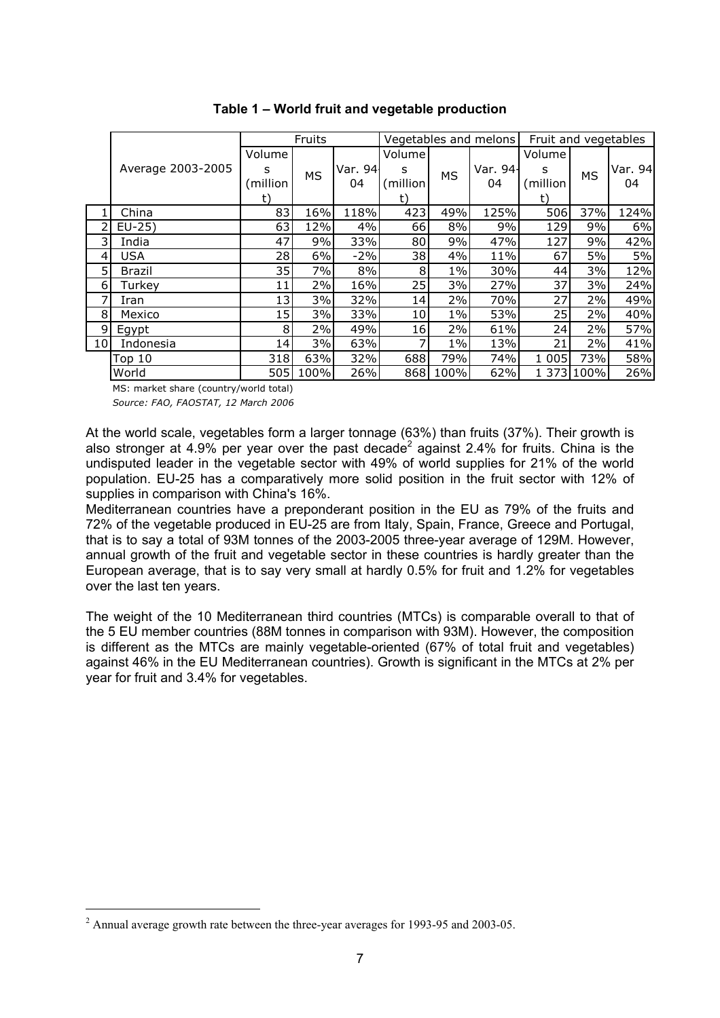|                 |                   |          | Fruits    |         |           |           | Vegetables and melons | Fruit and vegetables |           |         |
|-----------------|-------------------|----------|-----------|---------|-----------|-----------|-----------------------|----------------------|-----------|---------|
|                 |                   | Volume   |           |         | Volumel   |           |                       | Volume               |           |         |
|                 | Average 2003-2005 | s        | <b>MS</b> | Var. 94 | s         | <b>MS</b> | Var. 94               | s                    | <b>MS</b> | Var. 94 |
|                 |                   | (million |           | 04      | (million) |           | 04                    | (million             |           | 04      |
|                 |                   | t)       |           |         | t)        |           |                       | t)                   |           |         |
|                 | China             | 83       | 16%       | 118%    | 423       | 49%       | 125%                  | 506                  | 37%       | 124%    |
| 2               | $EU-25$ )         | 63       | 12%       | 4%      | 66        | 8%        | 9%                    | 129                  | 9%        | 6%      |
| 3               | India             | 47       | 9%        | 33%     | 80        | 9%        | 47%                   | 127                  | 9%        | 42%     |
| 4               | <b>USA</b>        | 28       | 6%        | $-2%$   | 38        | 4%        | 11%                   | 67                   | 5%        | 5%      |
| 5               | Brazil            | 35       | 7%        | 8%      | 8         | $1\%$     | 30%                   | 44                   | 3%        | 12%     |
| 6               | Turkey            | 11       | 2%        | 16%     | 25        | 3%        | 27%                   | 37                   | 3%        | 24%     |
| 7               | Iran              | 13       | 3%        | 32%     | 14        | 2%        | 70%                   | 27                   | 2%        | 49%     |
| 8               | Mexico            | 15       | 3%        | 33%     | 10        | $1\%$     | 53%                   | 25                   | 2%        | 40%     |
| 9               | Egypt             | 8        | 2%        | 49%     | 16        | 2%        | 61%                   | 24                   | 2%        | 57%     |
| 10 <sup>1</sup> | Indonesia         | 14       | 3%        | 63%     |           | $1\%$     | 13%                   | 21                   | 2%        | 41%     |
|                 | Top 10            | 318      | 63%       | 32%     | 688       | 79%       | 74%                   | 005<br>1.            | 73%       | 58%     |
|                 | World             | 505      | 100%      | 26%     | 868       | 100%      | 62%                   | 1 373                | 100%      | 26%     |

#### **Table 1 – World fruit and vegetable production**

MS: market share (country/world total) *Source: FAO, FAOSTAT, 12 March 2006*

At the world scale, vegetables form a larger tonnage (63%) than fruits (37%). Their growth is also stronger at 4.9% per year over the past decade<sup>2</sup> against 2.4% for fruits. China is the undisputed leader in the vegetable sector with 49% of world supplies for 21% of the world population. EU-25 has a comparatively more solid position in the fruit sector with 12% of supplies in comparison with China's 16%.

Mediterranean countries have a preponderant position in the EU as 79% of the fruits and 72% of the vegetable produced in EU-25 are from Italy, Spain, France, Greece and Portugal, that is to say a total of 93M tonnes of the 2003-2005 three-year average of 129M. However, annual growth of the fruit and vegetable sector in these countries is hardly greater than the European average, that is to say very small at hardly 0.5% for fruit and 1.2% for vegetables over the last ten years.

The weight of the 10 Mediterranean third countries (MTCs) is comparable overall to that of the 5 EU member countries (88M tonnes in comparison with 93M). However, the composition is different as the MTCs are mainly vegetable-oriented (67% of total fruit and vegetables) against 46% in the EU Mediterranean countries). Growth is significant in the MTCs at 2% per year for fruit and 3.4% for vegetables.

 $2$  Annual average growth rate between the three-year averages for 1993-95 and 2003-05.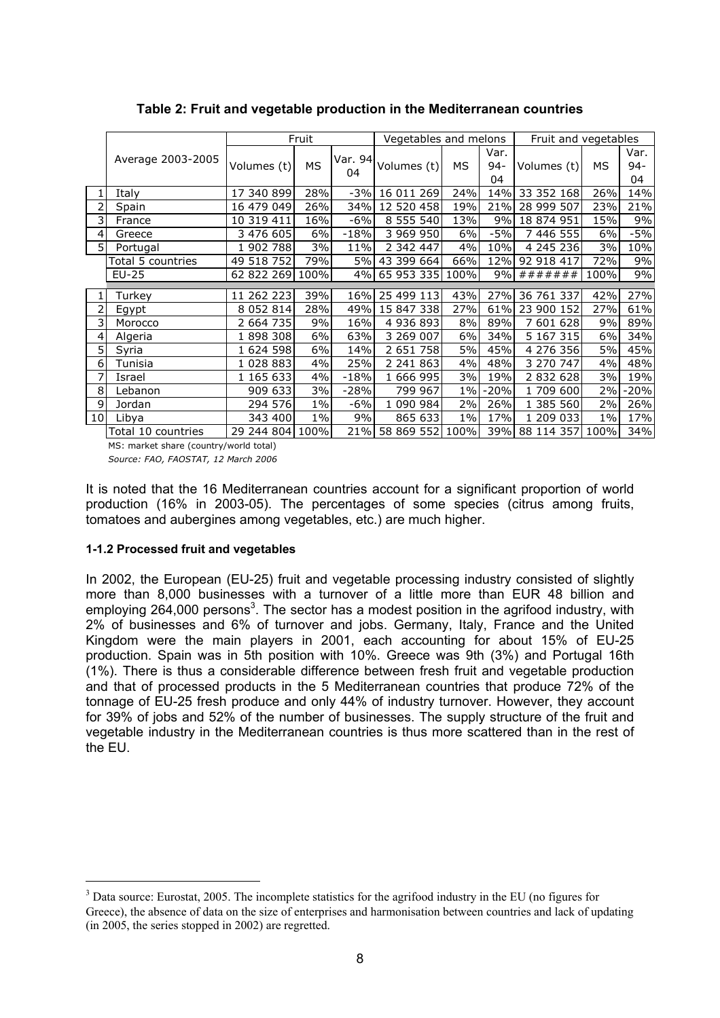|                 |                    |               | Fruit     |               | Vegetables and melons |       |                      | Fruit and vegetables |       |                      |
|-----------------|--------------------|---------------|-----------|---------------|-----------------------|-------|----------------------|----------------------|-------|----------------------|
|                 | Average 2003-2005  | Volumes (t)   | <b>MS</b> | Var. 94<br>04 | Volumes (t)           | MS    | Var.<br>$94 -$<br>04 | Volumes (t)          | МS    | Var.<br>$94 -$<br>04 |
|                 | Italy              | 17 340 899    | 28%       | $-3%$         | 16 011 269            | 24%   | 14%                  | 33 352 168           | 26%   | 14%                  |
|                 | Spain              | 16 479 049    | 26%       | 34%           | 12 520 458            | 19%   | 21%                  | 28 999 507           | 23%   | 21%                  |
| 3               | France             | 10 319 411    | 16%       | $-6%$         | 8 555 540             | 13%   | 9%                   | 18 874 951           | 15%   | 9%                   |
| 4               | Greece             | 3 476 605     | 6%        | $-18%$        | 3 969 950             | 6%    | $-5%$                | 7 446 555            | 6%    | $-5%$                |
| 5 <sup>1</sup>  | Portugal           | 1 902 788     | 3%        | 11%           | 2 342 447             | 4%    | 10%                  | 4 245 236            | 3%    | 10%                  |
|                 | Total 5 countries  | 49 518 752    | 79%       | 5%I           | 43 399 664            | 66%   | 12%                  | 92 918 417           | 72%   | 9%                   |
|                 | EU-25              | 62 822 269    | 100%      |               | 4% 65 953 335 100%    |       | 9%                   | #######              | 100%  | 9%                   |
|                 |                    |               |           |               |                       |       |                      |                      |       |                      |
| 1               | Turkey             | 11 262 223    | 39%       | 16%           | 25 499 113            | 43%   | 27%                  | 36 761 337           | 42%   | 27%                  |
| 2               | Egypt              | 8 0 5 2 8 1 4 | 28%       | 49%           | 15 847 338            | 27%   | 61%                  | 23 900 152           | 27%   | 61%                  |
| 3               | Morocco            | 2 664 735     | 9%        | 16%           | 4 936 893             | 8%    | 89%                  | 7 601 628            | 9%    | 89%                  |
| 4               | Algeria            | 1898308       | 6%        | 63%           | 3 269 007             | 6%    | 34%                  | 5 167 315            | 6%    | 34%                  |
| 5               | Syria              | 1 624 598     | 6%        | 14%           | 2 651 758             | 5%    | 45%                  | 4 276 356            | 5%    | 45%                  |
| 6               | Tunisia            | 1 028 883     | 4%        | 25%           | 2 241 863             | 4%    | 48%                  | 3 270 747            | 4%    | 48%                  |
|                 | Israel             | 1 165 633     | 4%        | $-18%$        | 1 666 995             | 3%    | 19%                  | 2 832 628            | 3%    | 19%                  |
| 8               | Lebanon            | 909 633       | 3%        | $-28%$        | 799 967               | $1\%$ | $-20%$               | 1709600              | 2%    | $-20%$               |
| 9               | Jordan             | 294 576       | $1\%$     | -6%           | 1 090 984             | 2%    | 26%                  | 1 385 560            | 2%    | 26%                  |
| 10 <sup>1</sup> | Libya              | 343 400       | $1\%$     | 9%            | 865 633               | $1\%$ | 17%                  | 1 209 033            | $1\%$ | 17%                  |
|                 | Total 10 countries | 29 244 804    | 100%      | 21%           | 58 869 552            | 100%  | 39%                  | 88 114 357           | 100%  | 34%                  |

**Table 2: Fruit and vegetable production in the Mediterranean countries** 

MS: market share (country/world total) *Source: FAO, FAOSTAT, 12 March 2006*

It is noted that the 16 Mediterranean countries account for a significant proportion of world production (16% in 2003-05). The percentages of some species (citrus among fruits, tomatoes and aubergines among vegetables, etc.) are much higher.

### **1-1.2 Processed fruit and vegetables**

 $\overline{a}$ 

In 2002, the European (EU-25) fruit and vegetable processing industry consisted of slightly more than 8,000 businesses with a turnover of a little more than EUR 48 billion and employing 264,000 persons<sup>3</sup>. The sector has a modest position in the agrifood industry, with 2% of businesses and 6% of turnover and jobs. Germany, Italy, France and the United Kingdom were the main players in 2001, each accounting for about 15% of EU-25 production. Spain was in 5th position with 10%. Greece was 9th (3%) and Portugal 16th (1%). There is thus a considerable difference between fresh fruit and vegetable production and that of processed products in the 5 Mediterranean countries that produce 72% of the tonnage of EU-25 fresh produce and only 44% of industry turnover. However, they account for 39% of jobs and 52% of the number of businesses. The supply structure of the fruit and vegetable industry in the Mediterranean countries is thus more scattered than in the rest of the EU.

<sup>&</sup>lt;sup>3</sup> Data source: Eurostat, 2005. The incomplete statistics for the agrifood industry in the EU (no figures for Greece), the absence of data on the size of enterprises and harmonisation between countries and lack of updating (in 2005, the series stopped in 2002) are regretted.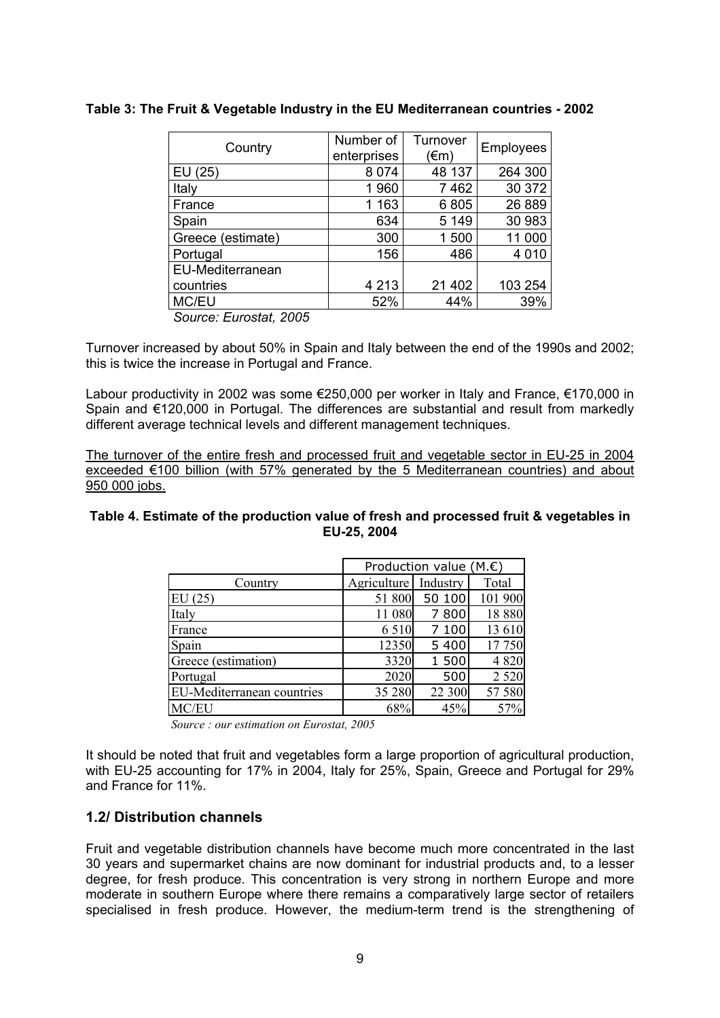| Country           | Number of<br>enterprises | Turnover<br>(€m) | <b>Employees</b> |
|-------------------|--------------------------|------------------|------------------|
| EU (25)           | 8 0 7 4                  | 48 137           | 264 300          |
| Italy             | 1960                     | 7462             | 30 372           |
| France            | 1 1 6 3                  | 6805             | 26 889           |
| Spain             | 634                      | 5 1 4 9          | 30 983           |
| Greece (estimate) | 300                      | 1500             | 11 000           |
| Portugal          | 156                      | 486              | 4 0 1 0          |
| EU-Mediterranean  |                          |                  |                  |
| countries         | 4 2 1 3                  | 21 402           | 103 254          |
| MC/EU             | 52%                      | 44%              | 39%              |
|                   |                          |                  |                  |

### **Table 3: The Fruit & Vegetable Industry in the EU Mediterranean countries - 2002**

*Source: Eurostat, 2005* 

Turnover increased by about 50% in Spain and Italy between the end of the 1990s and 2002; this is twice the increase in Portugal and France.

Labour productivity in 2002 was some €250,000 per worker in Italy and France, €170,000 in Spain and €120,000 in Portugal. The differences are substantial and result from markedly different average technical levels and different management techniques.

The turnover of the entire fresh and processed fruit and vegetable sector in EU-25 in 2004 exceeded €100 billion (with 57% generated by the 5 Mediterranean countries) and about 950 000 jobs.

#### **Table 4. Estimate of the production value of fresh and processed fruit & vegetables in EU-25, 2004**

|                            | Production value (M. $\epsilon$ ) |          |          |  |  |  |
|----------------------------|-----------------------------------|----------|----------|--|--|--|
| Country                    | Agriculture                       | Industry | Total    |  |  |  |
| EU(25)                     | 51 800                            | 50 100   | 101 900  |  |  |  |
| Italy                      | 11 080                            | 800      | 18 8 8 0 |  |  |  |
| France                     | 6 5 1 0                           | 100      | 13 610   |  |  |  |
| Spain                      | 12350                             | 5 4 0 0  | 17 750   |  |  |  |
| Greece (estimation)        | 3320                              | 1 500    | 4 8 20   |  |  |  |
| Portugal                   | 2020                              | 500      | 2 5 2 0  |  |  |  |
| EU-Mediterranean countries | 35 280                            | 22 300   | 57 580   |  |  |  |
| MC/EU                      | 68%                               | 45%      | 57%      |  |  |  |

*Source : our estimation on Eurostat, 2005*

It should be noted that fruit and vegetables form a large proportion of agricultural production, with EU-25 accounting for 17% in 2004, Italy for 25%, Spain, Greece and Portugal for 29% and France for 11%.

# **1.2/ Distribution channels**

Fruit and vegetable distribution channels have become much more concentrated in the last 30 years and supermarket chains are now dominant for industrial products and, to a lesser degree, for fresh produce. This concentration is very strong in northern Europe and more moderate in southern Europe where there remains a comparatively large sector of retailers specialised in fresh produce. However, the medium-term trend is the strengthening of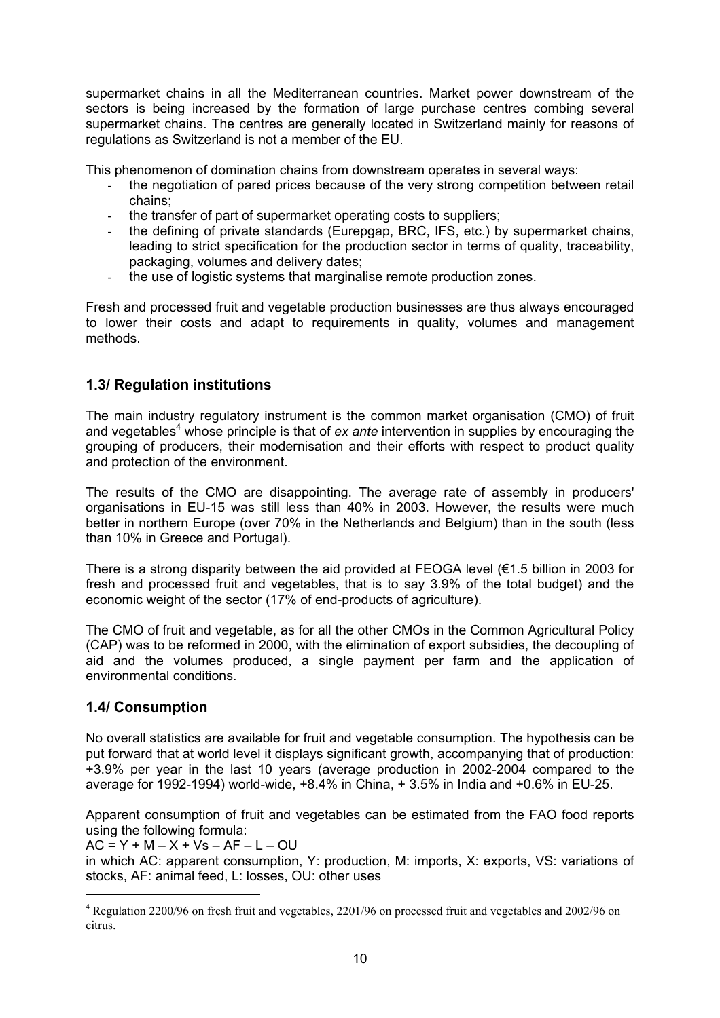supermarket chains in all the Mediterranean countries. Market power downstream of the sectors is being increased by the formation of large purchase centres combing several supermarket chains. The centres are generally located in Switzerland mainly for reasons of regulations as Switzerland is not a member of the EU.

This phenomenon of domination chains from downstream operates in several ways:

- the negotiation of pared prices because of the very strong competition between retail chains;
- the transfer of part of supermarket operating costs to suppliers;
- the defining of private standards (Eurepgap, BRC, IFS, etc.) by supermarket chains, leading to strict specification for the production sector in terms of quality, traceability, packaging, volumes and delivery dates;
- the use of logistic systems that marginalise remote production zones.

Fresh and processed fruit and vegetable production businesses are thus always encouraged to lower their costs and adapt to requirements in quality, volumes and management methods.

# **1.3/ Regulation institutions**

The main industry regulatory instrument is the common market organisation (CMO) of fruit and vegetables<sup>4</sup> whose principle is that of *ex ante* intervention in supplies by encouraging the grouping of producers, their modernisation and their efforts with respect to product quality and protection of the environment.

The results of the CMO are disappointing. The average rate of assembly in producers' organisations in EU-15 was still less than 40% in 2003. However, the results were much better in northern Europe (over 70% in the Netherlands and Belgium) than in the south (less than 10% in Greece and Portugal).

There is a strong disparity between the aid provided at FEOGA level (€1.5 billion in 2003 for fresh and processed fruit and vegetables, that is to say 3.9% of the total budget) and the economic weight of the sector (17% of end-products of agriculture).

The CMO of fruit and vegetable, as for all the other CMOs in the Common Agricultural Policy (CAP) was to be reformed in 2000, with the elimination of export subsidies, the decoupling of aid and the volumes produced, a single payment per farm and the application of environmental conditions.

# **1.4/ Consumption**

 $\overline{a}$ 

No overall statistics are available for fruit and vegetable consumption. The hypothesis can be put forward that at world level it displays significant growth, accompanying that of production: +3.9% per year in the last 10 years (average production in 2002-2004 compared to the average for 1992-1994) world-wide, +8.4% in China, + 3.5% in India and +0.6% in EU-25.

Apparent consumption of fruit and vegetables can be estimated from the FAO food reports using the following formula:

 $AC = Y + M - X + Vs - AF - L - OU$ 

in which AC: apparent consumption, Y: production, M: imports, X: exports, VS: variations of stocks, AF: animal feed, L: losses, OU: other uses

<sup>&</sup>lt;sup>4</sup> Regulation 2200/96 on fresh fruit and vegetables, 2201/96 on processed fruit and vegetables and 2002/96 on citrus.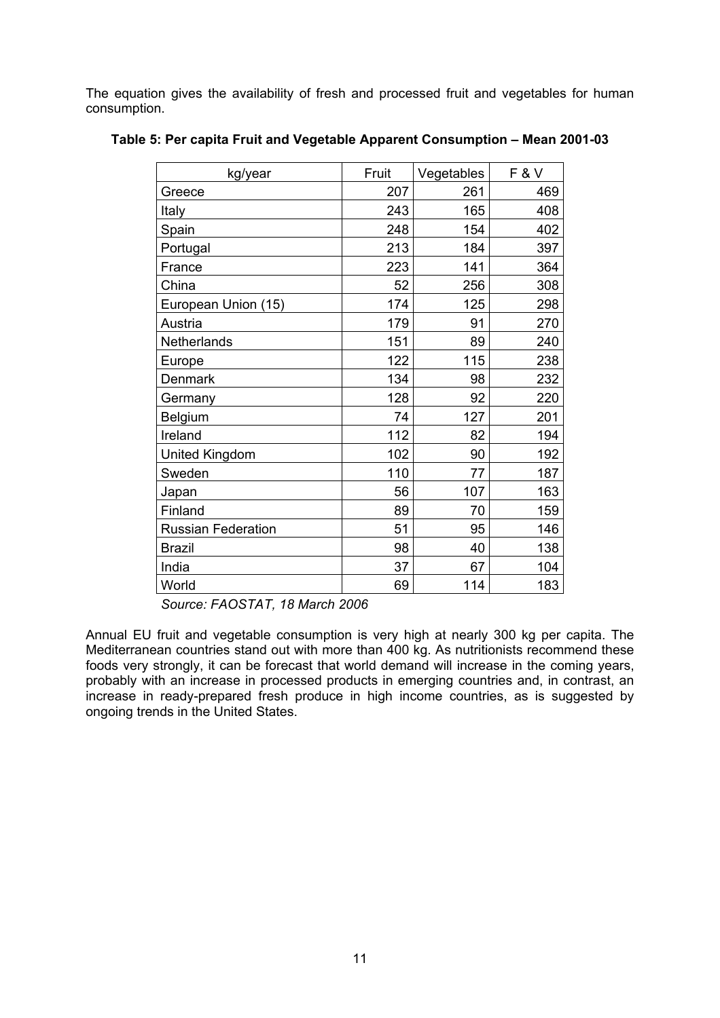The equation gives the availability of fresh and processed fruit and vegetables for human consumption.

| kg/year                   | Fruit | Vegetables | <b>F&amp;V</b> |
|---------------------------|-------|------------|----------------|
| Greece                    | 207   | 261        | 469            |
| Italy                     | 243   | 165        | 408            |
| Spain                     | 248   | 154        | 402            |
| Portugal                  | 213   | 184        | 397            |
| France                    | 223   | 141        | 364            |
| China                     | 52    | 256        | 308            |
| European Union (15)       | 174   | 125        | 298            |
| Austria                   | 179   | 91         | 270            |
| Netherlands               | 151   | 89         | 240            |
| Europe                    | 122   | 115        | 238            |
| <b>Denmark</b>            | 134   | 98         | 232            |
| Germany                   | 128   | 92         | 220            |
| Belgium                   | 74    | 127        | 201            |
| Ireland                   | 112   | 82         | 194            |
| United Kingdom            | 102   | 90         | 192            |
| Sweden                    | 110   | 77         | 187            |
| Japan                     | 56    | 107        | 163            |
| Finland                   | 89    | 70         | 159            |
| <b>Russian Federation</b> | 51    | 95         | 146            |
| <b>Brazil</b>             | 98    | 40         | 138            |
| India                     | 37    | 67         | 104            |
| World                     | 69    | 114        | 183            |

### **Table 5: Per capita Fruit and Vegetable Apparent Consumption – Mean 2001-03**

*Source: FAOSTAT, 18 March 2006*

Annual EU fruit and vegetable consumption is very high at nearly 300 kg per capita. The Mediterranean countries stand out with more than 400 kg. As nutritionists recommend these foods very strongly, it can be forecast that world demand will increase in the coming years, probably with an increase in processed products in emerging countries and, in contrast, an increase in ready-prepared fresh produce in high income countries, as is suggested by ongoing trends in the United States.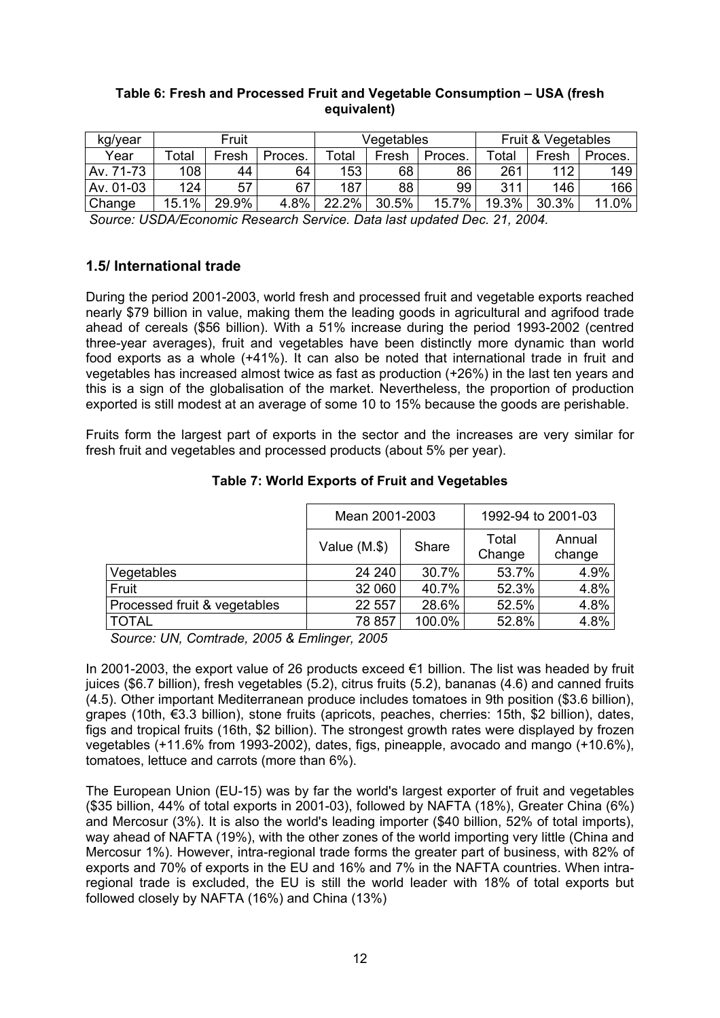|         | Table 6: Fresh and Processed Fruit and Vegetable Consumption – USA (fresh | equivalent) |  |
|---------|---------------------------------------------------------------------------|-------------|--|
| kg/year | Fruit & Vegetables                                                        |             |  |

| kg/year   |                                                                      | Fruit |         | Vegetables |       |         | Fruit & Vegetables |       |                  |  |  |
|-----------|----------------------------------------------------------------------|-------|---------|------------|-------|---------|--------------------|-------|------------------|--|--|
| Year      | Total                                                                | Fresh | Proces. | Total      | Fresh | Proces. | Total              | Fresh | Proces.          |  |  |
| Av. 71-73 | 108                                                                  | 44    | 64      | 153        | 68    | 86      | 261                | 112   | 149              |  |  |
| Av. 01-03 | 124                                                                  | 57    | 67      | 187        | 88    | 99      | 311                | 146   | 166 <sub>1</sub> |  |  |
| Change    | 15.1%                                                                | 29.9% | 4.8%    | $22.2\%$   | 30.5% | 15.7%   | 19.3%              | 30.3% | 11.0%            |  |  |
|           | Course: UCDA/Essessio Desserb Conise, Detailed undeted Des. 04, 0004 |       |         |            |       |         |                    |       |                  |  |  |

*Source: USDA/Economic Research Service. Data last updated Dec. 21, 2004.*

# **1.5/ International trade**

During the period 2001-2003, world fresh and processed fruit and vegetable exports reached nearly \$79 billion in value, making them the leading goods in agricultural and agrifood trade ahead of cereals (\$56 billion). With a 51% increase during the period 1993-2002 (centred three-year averages), fruit and vegetables have been distinctly more dynamic than world food exports as a whole (+41%). It can also be noted that international trade in fruit and vegetables has increased almost twice as fast as production (+26%) in the last ten years and this is a sign of the globalisation of the market. Nevertheless, the proportion of production exported is still modest at an average of some 10 to 15% because the goods are perishable.

Fruits form the largest part of exports in the sector and the increases are very similar for fresh fruit and vegetables and processed products (about 5% per year).

|                              | Mean 2001-2003 |        | 1992-94 to 2001-03 |                  |
|------------------------------|----------------|--------|--------------------|------------------|
|                              | Value $(M.\$   | Share  | Total<br>Change    | Annual<br>change |
| Vegetables                   | 24 240         | 30.7%  | 53.7%              | 4.9%             |
| Fruit                        | 32 060         | 40.7%  | 52.3%              | 4.8%             |
| Processed fruit & vegetables | 22 557         | 28.6%  | 52.5%              | 4.8%             |
| <b>TOTAL</b>                 | 78 857         | 100.0% | 52.8%              | 4.8%             |

# **Table 7: World Exports of Fruit and Vegetables**

*Source: UN, Comtrade, 2005 & Emlinger, 2005* 

In 2001-2003, the export value of 26 products exceed €1 billion. The list was headed by fruit juices (\$6.7 billion), fresh vegetables (5.2), citrus fruits (5.2), bananas (4.6) and canned fruits (4.5). Other important Mediterranean produce includes tomatoes in 9th position (\$3.6 billion), grapes (10th, €3.3 billion), stone fruits (apricots, peaches, cherries: 15th, \$2 billion), dates, figs and tropical fruits (16th, \$2 billion). The strongest growth rates were displayed by frozen vegetables (+11.6% from 1993-2002), dates, figs, pineapple, avocado and mango (+10.6%), tomatoes, lettuce and carrots (more than 6%).

The European Union (EU-15) was by far the world's largest exporter of fruit and vegetables (\$35 billion, 44% of total exports in 2001-03), followed by NAFTA (18%), Greater China (6%) and Mercosur (3%). It is also the world's leading importer (\$40 billion, 52% of total imports), way ahead of NAFTA (19%), with the other zones of the world importing very little (China and Mercosur 1%). However, intra-regional trade forms the greater part of business, with 82% of exports and 70% of exports in the EU and 16% and 7% in the NAFTA countries. When intraregional trade is excluded, the EU is still the world leader with 18% of total exports but followed closely by NAFTA (16%) and China (13%)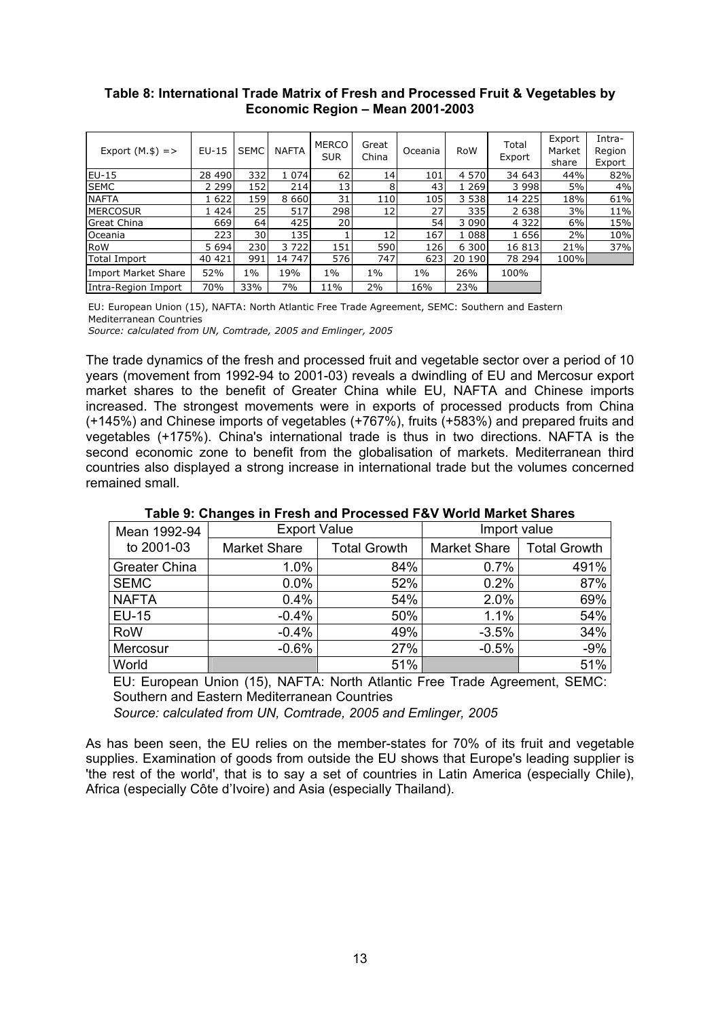### **Table 8: International Trade Matrix of Fresh and Processed Fruit & Vegetables by Economic Region – Mean 2001-2003**

| Export $(M.\$)$ =>  | $EU-15$ | <b>SEMC</b> | <b>NAFTA</b> | <b>MERCO</b><br><b>SUR</b> | Great<br>China  | Oceania | <b>RoW</b> | Total<br>Export | Export<br>Market<br>share | Intra-<br>Region<br>Export |
|---------------------|---------|-------------|--------------|----------------------------|-----------------|---------|------------|-----------------|---------------------------|----------------------------|
| EU-15               | 28 490  | 332         | 1 0 7 4      | 62                         | 14 <sub>1</sub> | 101     | 4 570      | 34 643          | 44%                       | 82%                        |
| <b>SEMC</b>         | 2 299l  | 152         | 214          | 13                         | 8               | 43      | 1 2 6 9 1  | 3 998           | 5%                        | 4%                         |
| <b>NAFTA</b>        | 1 622   | 159         | 8 6 6 0 1    | 31                         | 110             | 105l    | 3 5 3 8 1  | 14 2 2 5        | 18%                       | 61%                        |
| <b>MERCOSUR</b>     | 1 4241  | 25          | 517          | 298                        | 12              | 27 I    | 335l       | 2 638           | 3%                        | 11%                        |
| <b>Great China</b>  | 669     | 64 l        | 425          | 20                         |                 | 54 l    | 3 090      | 4 3 2 2         | 6%                        | 15%                        |
| Oceania             | 223l    | 30 l        | 135          |                            | 12              | 167     | 1 0 8 8    | 1 656           | 2%                        | 10%                        |
| RoW                 | 5 6 9 4 | 230         | 3722         | 151                        | 590             | 126l    | 6 300      | 16 813          | 21%                       | 37%                        |
| <b>Total Import</b> | 40 421  | 991         | 14 747       | 576                        | 747             | 623     | 20 190     | 78 294          | 100%l                     |                            |
| Import Market Share | 52%     | $1\%$       | 19%          | 1%                         | $1\%$           | $1\%$   | 26%        | 100%            |                           |                            |
| Intra-Region Import | 70%     | 33%         | 7%           | 11%                        | 2%              | 16%     | 23%        |                 |                           |                            |

EU: European Union (15), NAFTA: North Atlantic Free Trade Agreement, SEMC: Southern and Eastern Mediterranean Countries

*Source: calculated from UN, Comtrade, 2005 and Emlinger, 2005*

The trade dynamics of the fresh and processed fruit and vegetable sector over a period of 10 years (movement from 1992-94 to 2001-03) reveals a dwindling of EU and Mercosur export market shares to the benefit of Greater China while EU, NAFTA and Chinese imports increased. The strongest movements were in exports of processed products from China (+145%) and Chinese imports of vegetables (+767%), fruits (+583%) and prepared fruits and vegetables (+175%). China's international trade is thus in two directions. NAFTA is the second economic zone to benefit from the globalisation of markets. Mediterranean third countries also displayed a strong increase in international trade but the volumes concerned remained small.

| Mean 1992-94  | <b>Export Value</b> |                     | Import value        |                     |  |
|---------------|---------------------|---------------------|---------------------|---------------------|--|
| to 2001-03    | <b>Market Share</b> | <b>Total Growth</b> | <b>Market Share</b> | <b>Total Growth</b> |  |
| Greater China | 1.0%                | 84%                 | 0.7%                | 491%                |  |
| <b>SEMC</b>   | $0.0\%$             | 52%                 | 0.2%                | 87%                 |  |
| <b>NAFTA</b>  | 0.4%                | 54%                 | 2.0%                | 69%                 |  |
| <b>EU-15</b>  | $-0.4%$             | 50%                 | 1.1%                | 54%                 |  |
| <b>RoW</b>    | $-0.4%$             | 49%                 | $-3.5%$             | 34%                 |  |
| Mercosur      | $-0.6%$             | 27%                 | $-0.5%$             | $-9%$               |  |
| World         |                     | 51%                 |                     | 51%                 |  |

**Table 9: Changes in Fresh and Processed F&V World Market Shares** 

EU: European Union (15), NAFTA: North Atlantic Free Trade Agreement, SEMC: Southern and Eastern Mediterranean Countries

*Source: calculated from UN, Comtrade, 2005 and Emlinger, 2005* 

As has been seen, the EU relies on the member-states for 70% of its fruit and vegetable supplies. Examination of goods from outside the EU shows that Europe's leading supplier is 'the rest of the world', that is to say a set of countries in Latin America (especially Chile), Africa (especially Côte d'Ivoire) and Asia (especially Thailand).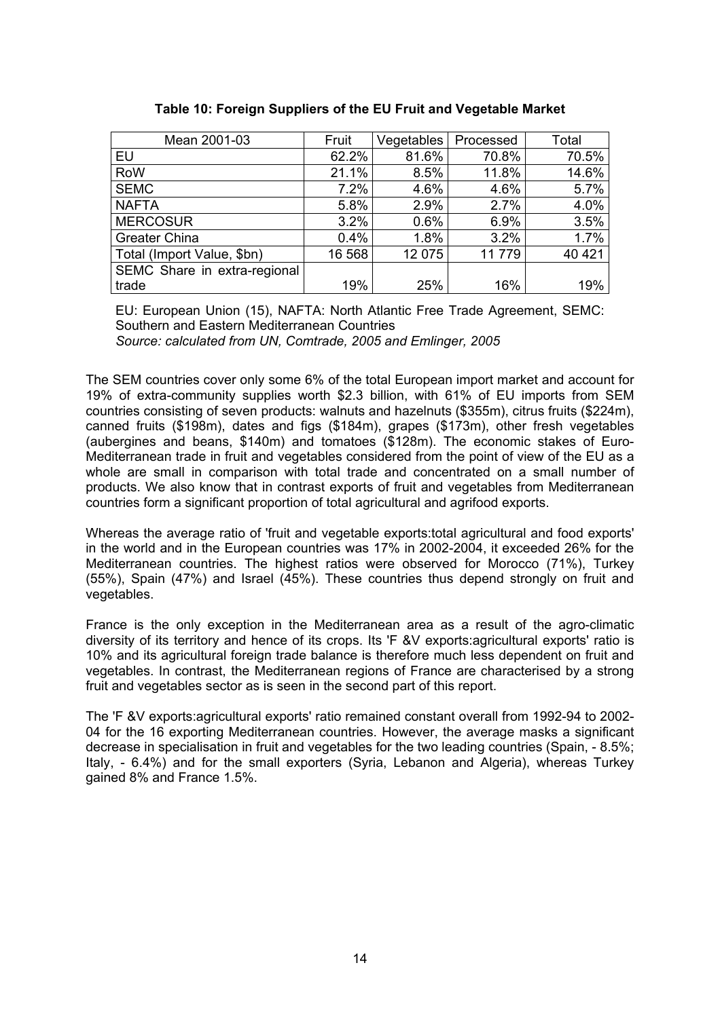| Mean 2001-03                 | Fruit  | Vegetables | Processed | Total   |
|------------------------------|--------|------------|-----------|---------|
| EU                           | 62.2%  | 81.6%      | 70.8%     | 70.5%   |
| RoW                          | 21.1%  | 8.5%       | 11.8%     | 14.6%   |
| <b>SEMC</b>                  | 7.2%   | 4.6%       | 4.6%      | 5.7%    |
| <b>NAFTA</b>                 | 5.8%   | 2.9%       | 2.7%      | 4.0%    |
| <b>MERCOSUR</b>              | 3.2%   | 0.6%       | 6.9%      | 3.5%    |
| <b>Greater China</b>         | 0.4%   | 1.8%       | 3.2%      | 1.7%    |
| Total (Import Value, \$bn)   | 16 568 | 12 075     | 11779     | 40 4 21 |
| SEMC Share in extra-regional |        |            |           |         |
| trade                        | 19%    | 25%        | 16%       | 19%     |

**Table 10: Foreign Suppliers of the EU Fruit and Vegetable Market** 

EU: European Union (15), NAFTA: North Atlantic Free Trade Agreement, SEMC: Southern and Eastern Mediterranean Countries *Source: calculated from UN, Comtrade, 2005 and Emlinger, 2005*

The SEM countries cover only some 6% of the total European import market and account for 19% of extra-community supplies worth \$2.3 billion, with 61% of EU imports from SEM countries consisting of seven products: walnuts and hazelnuts (\$355m), citrus fruits (\$224m), canned fruits (\$198m), dates and figs (\$184m), grapes (\$173m), other fresh vegetables (aubergines and beans, \$140m) and tomatoes (\$128m). The economic stakes of Euro-Mediterranean trade in fruit and vegetables considered from the point of view of the EU as a whole are small in comparison with total trade and concentrated on a small number of products. We also know that in contrast exports of fruit and vegetables from Mediterranean countries form a significant proportion of total agricultural and agrifood exports.

Whereas the average ratio of 'fruit and vegetable exports:total agricultural and food exports' in the world and in the European countries was 17% in 2002-2004, it exceeded 26% for the Mediterranean countries. The highest ratios were observed for Morocco (71%), Turkey (55%), Spain (47%) and Israel (45%). These countries thus depend strongly on fruit and vegetables.

France is the only exception in the Mediterranean area as a result of the agro-climatic diversity of its territory and hence of its crops. Its 'F &V exports:agricultural exports' ratio is 10% and its agricultural foreign trade balance is therefore much less dependent on fruit and vegetables. In contrast, the Mediterranean regions of France are characterised by a strong fruit and vegetables sector as is seen in the second part of this report.

The 'F &V exports:agricultural exports' ratio remained constant overall from 1992-94 to 2002- 04 for the 16 exporting Mediterranean countries. However, the average masks a significant decrease in specialisation in fruit and vegetables for the two leading countries (Spain, - 8.5%; Italy, - 6.4%) and for the small exporters (Syria, Lebanon and Algeria), whereas Turkey gained 8% and France 1.5%.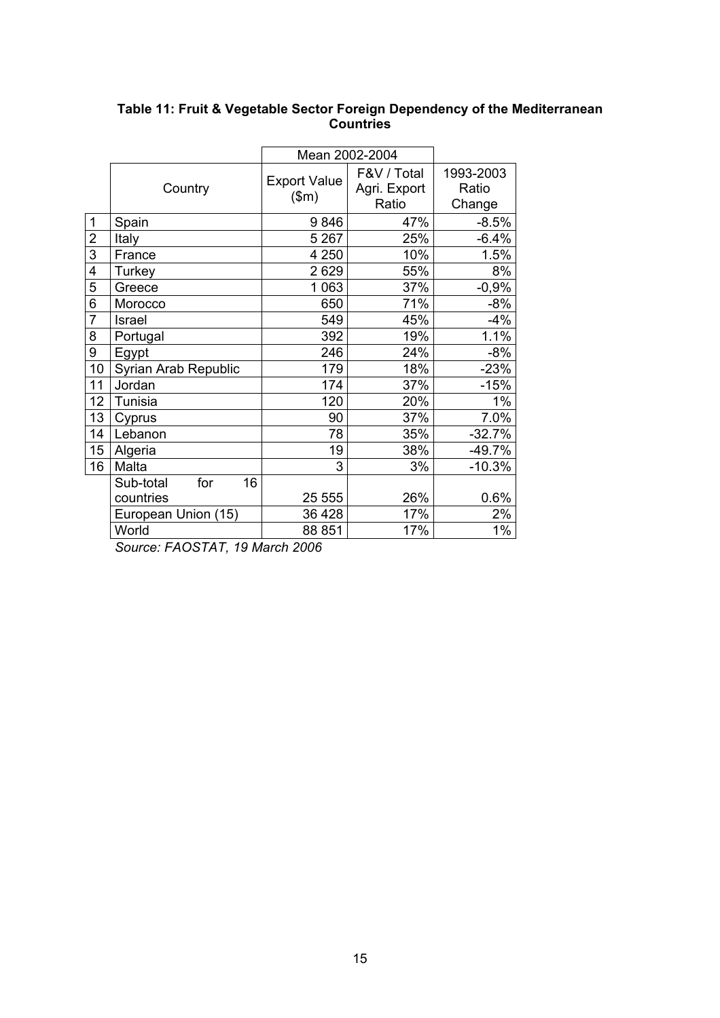|                |                        | Mean 2002-2004               |                                      |                              |
|----------------|------------------------|------------------------------|--------------------------------------|------------------------------|
|                | Country                | <b>Export Value</b><br>\$m\$ | F&V / Total<br>Agri. Export<br>Ratio | 1993-2003<br>Ratio<br>Change |
| $\mathbf 1$    | Spain                  | 9846                         | 47%                                  | $-8.5%$                      |
| $\overline{2}$ | Italy                  | 5 2 6 7                      | 25%                                  | $-6.4%$                      |
| $\overline{3}$ | France                 | 4 2 5 0                      | 10%                                  | 1.5%                         |
| 4              | Turkey                 | 2629                         | 55%                                  | 8%                           |
| 5              | Greece                 | 1 0 6 3                      | 37%                                  | $-0,9%$                      |
| 6              | Morocco                | 650                          | 71%                                  | $-8%$                        |
| $\overline{7}$ | Israel                 | 549                          | 45%                                  | $-4%$                        |
| 8              | Portugal               | 392                          | 19%                                  | 1.1%                         |
| 9              | Egypt                  | 246                          | 24%                                  | $-8%$                        |
| 10             | Syrian Arab Republic   | 179                          | 18%                                  | $-23%$                       |
| 11             | Jordan                 | 174                          | 37%                                  | $-15%$                       |
| 12             | Tunisia                | 120                          | 20%                                  | $1\%$                        |
| 13             | Cyprus                 | 90                           | 37%                                  | 7.0%                         |
| 14             | Lebanon                | 78                           | 35%                                  | $-32.7%$                     |
| 15             | Algeria                | 19                           | 38%                                  | $-49.7%$                     |
| 16             | Malta                  | 3                            | 3%                                   | $-10.3%$                     |
|                | Sub-total<br>16<br>for |                              |                                      |                              |
|                | countries              | 25 555                       | 26%                                  | 0.6%                         |
|                | European Union (15)    | 36 4 28                      | 17%                                  | 2%                           |
|                | World                  | 88 851                       | 17%                                  | $1\%$                        |

### **Table 11: Fruit & Vegetable Sector Foreign Dependency of the Mediterranean Countries**

*Source: FAOSTAT, 19 March 2006*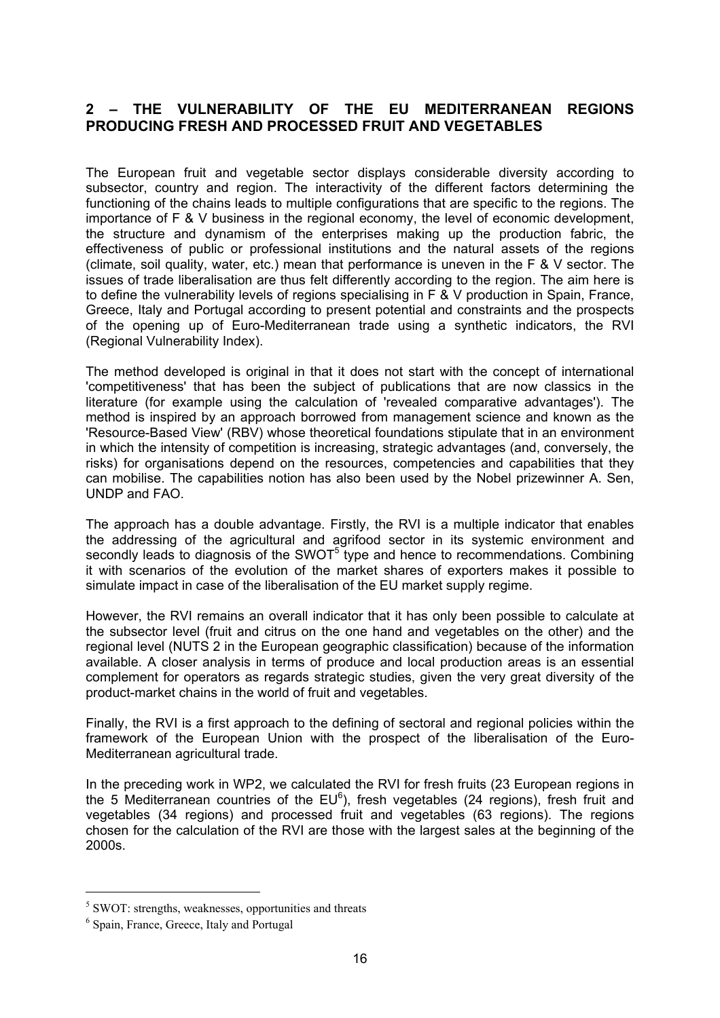# **2 – THE VULNERABILITY OF THE EU MEDITERRANEAN REGIONS PRODUCING FRESH AND PROCESSED FRUIT AND VEGETABLES**

The European fruit and vegetable sector displays considerable diversity according to subsector, country and region. The interactivity of the different factors determining the functioning of the chains leads to multiple configurations that are specific to the regions. The importance of F & V business in the regional economy, the level of economic development, the structure and dynamism of the enterprises making up the production fabric, the effectiveness of public or professional institutions and the natural assets of the regions (climate, soil quality, water, etc.) mean that performance is uneven in the F & V sector. The issues of trade liberalisation are thus felt differently according to the region. The aim here is to define the vulnerability levels of regions specialising in F & V production in Spain, France, Greece, Italy and Portugal according to present potential and constraints and the prospects of the opening up of Euro-Mediterranean trade using a synthetic indicators, the RVI (Regional Vulnerability Index).

The method developed is original in that it does not start with the concept of international 'competitiveness' that has been the subject of publications that are now classics in the literature (for example using the calculation of 'revealed comparative advantages'). The method is inspired by an approach borrowed from management science and known as the 'Resource-Based View' (RBV) whose theoretical foundations stipulate that in an environment in which the intensity of competition is increasing, strategic advantages (and, conversely, the risks) for organisations depend on the resources, competencies and capabilities that they can mobilise. The capabilities notion has also been used by the Nobel prizewinner A. Sen, UNDP and FAO.

The approach has a double advantage. Firstly, the RVI is a multiple indicator that enables the addressing of the agricultural and agrifood sector in its systemic environment and secondly leads to diagnosis of the SWOT $<sup>5</sup>$  type and hence to recommendations. Combining</sup> it with scenarios of the evolution of the market shares of exporters makes it possible to simulate impact in case of the liberalisation of the EU market supply regime.

However, the RVI remains an overall indicator that it has only been possible to calculate at the subsector level (fruit and citrus on the one hand and vegetables on the other) and the regional level (NUTS 2 in the European geographic classification) because of the information available. A closer analysis in terms of produce and local production areas is an essential complement for operators as regards strategic studies, given the very great diversity of the product-market chains in the world of fruit and vegetables.

Finally, the RVI is a first approach to the defining of sectoral and regional policies within the framework of the European Union with the prospect of the liberalisation of the Euro-Mediterranean agricultural trade.

In the preceding work in WP2, we calculated the RVI for fresh fruits (23 European regions in the 5 Mediterranean countries of the EU ${}^{6}$ ), fresh vegetables (24 regions), fresh fruit and vegetables (34 regions) and processed fruit and vegetables (63 regions). The regions chosen for the calculation of the RVI are those with the largest sales at the beginning of the 2000s.

 $\overline{a}$ 

<sup>&</sup>lt;sup>5</sup> SWOT: strengths, weaknesses, opportunities and threats

<sup>&</sup>lt;sup>6</sup> Spain, France, Greece, Italy and Portugal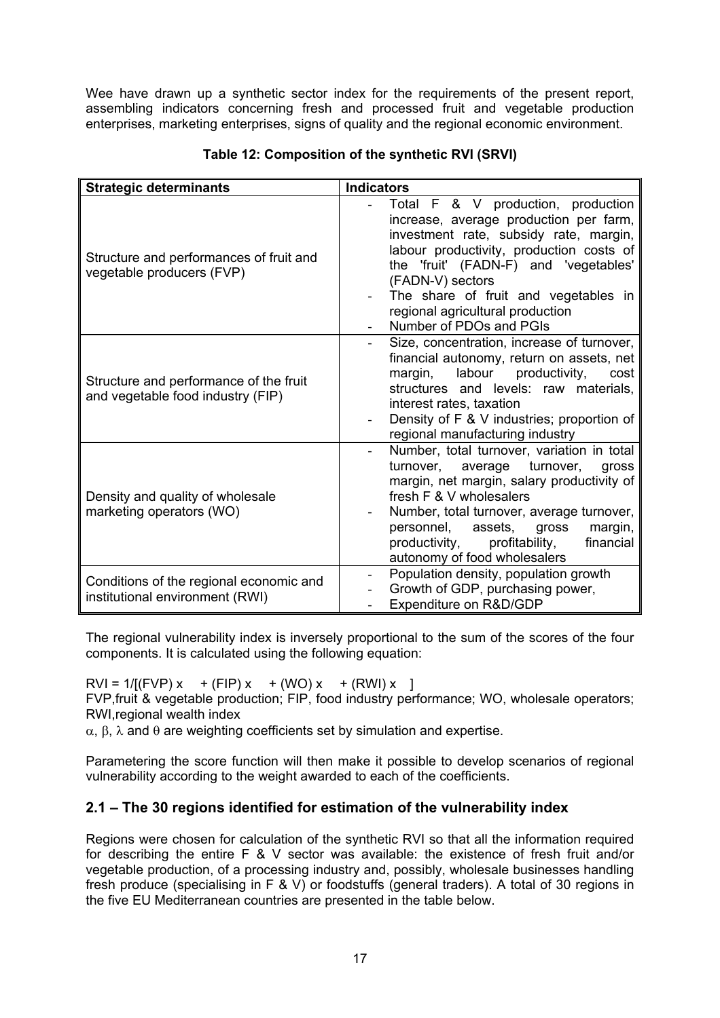Wee have drawn up a synthetic sector index for the requirements of the present report, assembling indicators concerning fresh and processed fruit and vegetable production enterprises, marketing enterprises, signs of quality and the regional economic environment.

| <b>Strategic determinants</b>                                               | <b>Indicators</b>                                                                                                                                                                                                                                                                                                                      |  |  |  |  |  |
|-----------------------------------------------------------------------------|----------------------------------------------------------------------------------------------------------------------------------------------------------------------------------------------------------------------------------------------------------------------------------------------------------------------------------------|--|--|--|--|--|
| Structure and performances of fruit and<br>vegetable producers (FVP)        | Total F & V production, production<br>increase, average production per farm,<br>investment rate, subsidy rate, margin,<br>labour productivity, production costs of<br>the 'fruit' (FADN-F) and 'vegetables'<br>(FADN-V) sectors<br>The share of fruit and vegetables in<br>regional agricultural production<br>Number of PDOs and PGIs |  |  |  |  |  |
| Structure and performance of the fruit<br>and vegetable food industry (FIP) | Size, concentration, increase of turnover,<br>financial autonomy, return on assets, net<br>margin, labour productivity,<br>cost<br>structures and levels: raw materials,<br>interest rates, taxation<br>Density of F & V industries; proportion of<br>regional manufacturing industry                                                  |  |  |  |  |  |
| Density and quality of wholesale<br>marketing operators (WO)                | Number, total turnover, variation in total<br>turnover, average turnover,<br>gross<br>margin, net margin, salary productivity of<br>fresh F & V wholesalers<br>Number, total turnover, average turnover,<br>assets,<br>personnel,<br>margin,<br>gross<br>financial<br>productivity, profitability,<br>autonomy of food wholesalers     |  |  |  |  |  |
| Conditions of the regional economic and<br>institutional environment (RWI)  | Population density, population growth<br>$\overline{\phantom{a}}$<br>Growth of GDP, purchasing power,<br>Expenditure on R&D/GDP                                                                                                                                                                                                        |  |  |  |  |  |

### **Table 12: Composition of the synthetic RVI (SRVI)**

The regional vulnerability index is inversely proportional to the sum of the scores of the four components. It is calculated using the following equation:

 $RVI = 1/(FVP)x + (FIP)x + (WO)x + (RWI)x$ FVP,fruit & vegetable production; FIP, food industry performance; WO, wholesale operators; RWI,regional wealth index

 $\alpha$ , β, λ and  $\theta$  are weighting coefficients set by simulation and expertise.

Parametering the score function will then make it possible to develop scenarios of regional vulnerability according to the weight awarded to each of the coefficients.

# **2.1 – The 30 regions identified for estimation of the vulnerability index**

Regions were chosen for calculation of the synthetic RVI so that all the information required for describing the entire F & V sector was available: the existence of fresh fruit and/or vegetable production, of a processing industry and, possibly, wholesale businesses handling fresh produce (specialising in F & V) or foodstuffs (general traders). A total of 30 regions in the five EU Mediterranean countries are presented in the table below.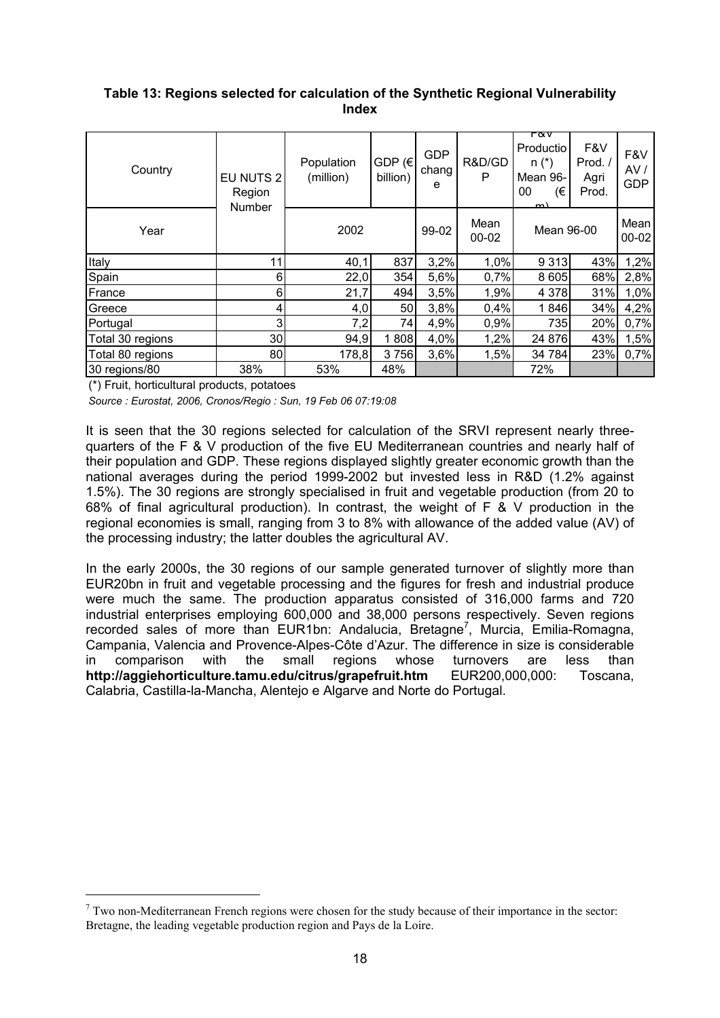### **Table 13: Regions selected for calculation of the Synthetic Regional Vulnerability Index**

| Country          | EU NUTS 2<br>Region<br><b>Number</b> | Population<br>(million) | GDP $(\epsilon)$<br>billion) | <b>GDP</b><br>chang<br>е | R&D/GD<br>P       | гαv<br>Productio<br>$n(*)$<br>Mean 96-<br>00<br>(€<br>m) | F&V<br>Prod./<br>Agri<br>Prod. | F&V<br>AV/<br><b>GDP</b> |
|------------------|--------------------------------------|-------------------------|------------------------------|--------------------------|-------------------|----------------------------------------------------------|--------------------------------|--------------------------|
| Year             |                                      | 2002                    |                              | 99-02                    | Mean<br>$00 - 02$ | Mean 96-00                                               |                                | Mean<br>$00 - 02$        |
| Italy            | 11                                   | 40,1                    | 837                          | 3,2%                     | 1,0%              | 9 3 1 3                                                  | 43%                            | 1,2%                     |
| Spain            | 6                                    | 22,0                    | 354                          | 5,6%                     | 0,7%              | 8 6 0 5                                                  | 68%                            | 2,8%                     |
| France           | 6                                    | 21,7                    | 494                          | 3,5%                     | 1,9%              | 4 3 7 8                                                  | 31%                            | 1,0%                     |
| Greece           | 4                                    | 4,0                     | 50                           | 3,8%                     | 0,4%              | 1846                                                     | 34%                            | 4,2%                     |
| Portugal         | 3                                    | 7,2                     | 74                           | 4,9%                     | 0,9%              | 735                                                      | 20%                            | 0,7%                     |
| Total 30 regions | 30 <sub>l</sub>                      | 94,9                    | 1808                         | 4,0%                     | 1,2%              | 24 876                                                   | 43%                            | 1,5%                     |
| Total 80 regions | 80                                   | 178,8                   | 3756                         | 3,6%                     | 1,5%              | 34 784                                                   | 23%                            | 0,7%                     |
| 30 regions/80    | 38%                                  | 53%                     | 48%                          |                          |                   | 72%                                                      |                                |                          |

(\*) Fruit, horticultural products, potatoes

 $\overline{a}$ 

*Source : Eurostat, 2006, Cronos/Regio : Sun, 19 Feb 06 07:19:08*

It is seen that the 30 regions selected for calculation of the SRVI represent nearly threequarters of the F & V production of the five EU Mediterranean countries and nearly half of their population and GDP. These regions displayed slightly greater economic growth than the national averages during the period 1999-2002 but invested less in R&D (1.2% against 1.5%). The 30 regions are strongly specialised in fruit and vegetable production (from 20 to 68% of final agricultural production). In contrast, the weight of F & V production in the regional economies is small, ranging from 3 to 8% with allowance of the added value (AV) of the processing industry; the latter doubles the agricultural AV.

In the early 2000s, the 30 regions of our sample generated turnover of slightly more than EUR20bn in fruit and vegetable processing and the figures for fresh and industrial produce were much the same. The production apparatus consisted of 316,000 farms and 720 industrial enterprises employing 600,000 and 38,000 persons respectively. Seven regions recorded sales of more than EUR1bn: Andalucia, Bretagne<sup>7</sup>, Murcia, Emilia-Romagna, Campania, Valencia and Provence-Alpes-Côte d'Azur. The difference in size is considerable in comparison with the small regions whose turnovers are less than **http://aggiehorticulture.tamu.edu/citrus/grapefruit.htm** EUR200,000,000: Toscana, Calabria, Castilla-la-Mancha, Alentejo e Algarve and Norte do Portugal.

 $7$  Two non-Mediterranean French regions were chosen for the study because of their importance in the sector: Bretagne, the leading vegetable production region and Pays de la Loire.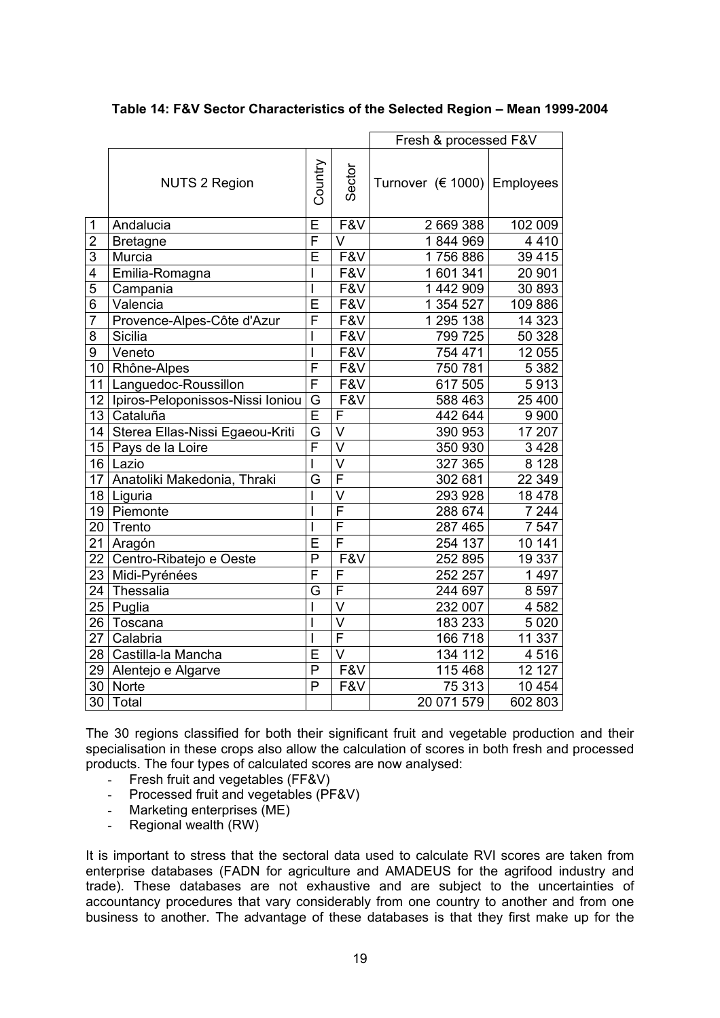|                 |                                       | Fresh & processed F&V   |                         |                               |                    |
|-----------------|---------------------------------------|-------------------------|-------------------------|-------------------------------|--------------------|
|                 | <b>NUTS 2 Region</b>                  | Country                 | Sector                  | Turnover $(6 1000)$ Employees |                    |
| $\mathbf{1}$    | Andalucia                             | Ē                       | F&V                     | 2 669 388                     | 102 009            |
| $\overline{c}$  | <b>Bretagne</b>                       | F                       | $\overline{\mathsf{V}}$ | 1844969                       | 4410               |
| 3               | Murcia                                | E                       | F&V                     | 1756886                       | 39 4 15            |
| 4               | Emilia-Romagna                        |                         | F&V                     | 601 341<br>1                  | 20 901             |
| $\overline{5}$  | Campania                              |                         | F&V                     | 1 442 909                     | 30 893             |
| 6               | Valencia                              | Е                       | F&V                     | 1 354 527                     | 109 886            |
| $\overline{7}$  | Provence-Alpes-Côte d'Azur            | F                       | F&V                     | 1 295 138                     | 14 3 23            |
| 8               | Sicilia                               |                         | F&V                     | 799 725                       | 50 328             |
| 9               | Veneto                                | ı                       | F&V                     | 754 471                       | 12 055             |
|                 | 10 Rhône-Alpes                        | F                       | F&V                     | 750 781                       | 5 3 8 2            |
| 11              | Languedoc-Roussillon                  | $\overline{F}$          | F&V                     | 617 505                       | 5913               |
|                 | 12   Ipiros-Peloponissos-Nissi Ioniou | $\overline{G}$          | F&V                     | 588 463                       | 25 400             |
|                 | 13 Cataluña                           | $\overline{\mathsf{E}}$ | F                       | 442 644                       | 9 9 0 0            |
|                 | 14 Sterea Ellas-Nissi Egaeou-Kriti    | G                       | $\overline{\mathsf{V}}$ | 390 953                       | $\frac{1}{17}$ 207 |
|                 | 15 Pays de la Loire                   | $\overline{\mathsf{F}}$ | $\overline{\vee}$       | 350 930                       | 3 4 2 8            |
|                 | 16 Lazio                              |                         | $\vee$                  | 327 365                       | 8 1 2 8            |
| 17              | Anatoliki Makedonia, Thraki           | G                       | $\overline{\mathsf{F}}$ | 302 681                       | 22 349             |
|                 | 18   Liguria                          |                         | $\overline{\mathsf{v}}$ | 293 928                       | 18 4 78            |
|                 | 19 Piemonte                           |                         | $\overline{\mathsf{F}}$ | 288 674                       | 7 244              |
| 20              | Trento                                |                         | $\overline{\mathsf{F}}$ | 287 465                       | 7 5 4 7            |
| 21              | Aragón                                | E                       | $\overline{\mathsf{F}}$ | 254 137                       | 10 141             |
| 22 <sub>1</sub> | Centro-Ribatejo e Oeste               | $\overline{P}$          | F&V                     | 252 895                       | 19 337             |
| 23              | Midi-Pyrénées                         | Ē                       | F                       | 252 257                       | 1 4 9 7            |
| 24              | Thessalia                             | G                       | F                       | 244 697                       | 8597               |
| 25              | Puglia                                |                         | $\overline{\mathsf{v}}$ | 232 007                       | 4 5 8 2            |
| 26              | Toscana                               |                         | $\overline{\mathsf{v}}$ | 183 233                       | 5 0 20             |
| 27 <sup>°</sup> | Calabria                              |                         | F                       | 166 718                       | 11 337             |
|                 | 28 Castilla-la Mancha                 | Ē                       | $\overline{\mathsf{v}}$ | 134 112                       | 4 5 1 6            |
|                 | 29 Alentejo e Algarve                 | P                       | F&V                     | 115 468                       | 12 127             |
|                 | 30 Norte                              | P                       | F&V                     | 75 313                        | 10 454             |
| 30              | Total                                 |                         |                         | 20 071 579                    | 602 803            |

The 30 regions classified for both their significant fruit and vegetable production and their specialisation in these crops also allow the calculation of scores in both fresh and processed products. The four types of calculated scores are now analysed:

- Fresh fruit and vegetables (FF&V)
- Processed fruit and vegetables (PF&V)
- Marketing enterprises (ME)
- Regional wealth (RW)

It is important to stress that the sectoral data used to calculate RVI scores are taken from enterprise databases (FADN for agriculture and AMADEUS for the agrifood industry and trade). These databases are not exhaustive and are subject to the uncertainties of accountancy procedures that vary considerably from one country to another and from one business to another. The advantage of these databases is that they first make up for the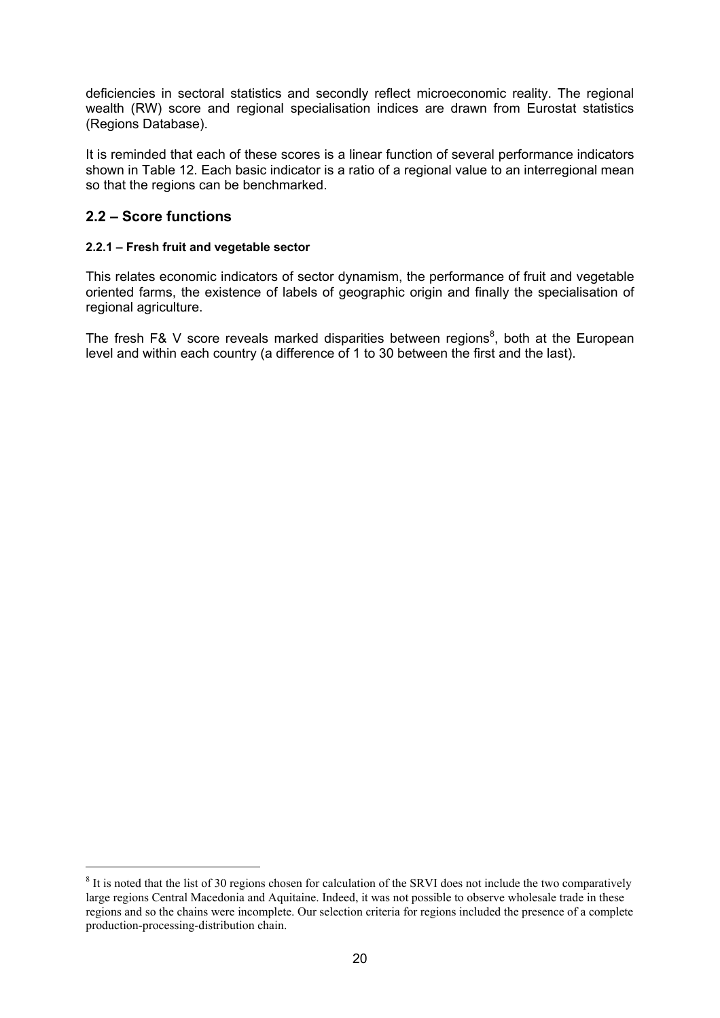deficiencies in sectoral statistics and secondly reflect microeconomic reality. The regional wealth (RW) score and regional specialisation indices are drawn from Eurostat statistics (Regions Database).

It is reminded that each of these scores is a linear function of several performance indicators shown in Table 12. Each basic indicator is a ratio of a regional value to an interregional mean so that the regions can be benchmarked.

# **2.2 – Score functions**

 $\overline{a}$ 

### **2.2.1 – Fresh fruit and vegetable sector**

This relates economic indicators of sector dynamism, the performance of fruit and vegetable oriented farms, the existence of labels of geographic origin and finally the specialisation of regional agriculture.

The fresh F& V score reveals marked disparities between regions<sup>8</sup>, both at the European level and within each country (a difference of 1 to 30 between the first and the last).

 $8$  It is noted that the list of 30 regions chosen for calculation of the SRVI does not include the two comparatively large regions Central Macedonia and Aquitaine. Indeed, it was not possible to observe wholesale trade in these regions and so the chains were incomplete. Our selection criteria for regions included the presence of a complete production-processing-distribution chain.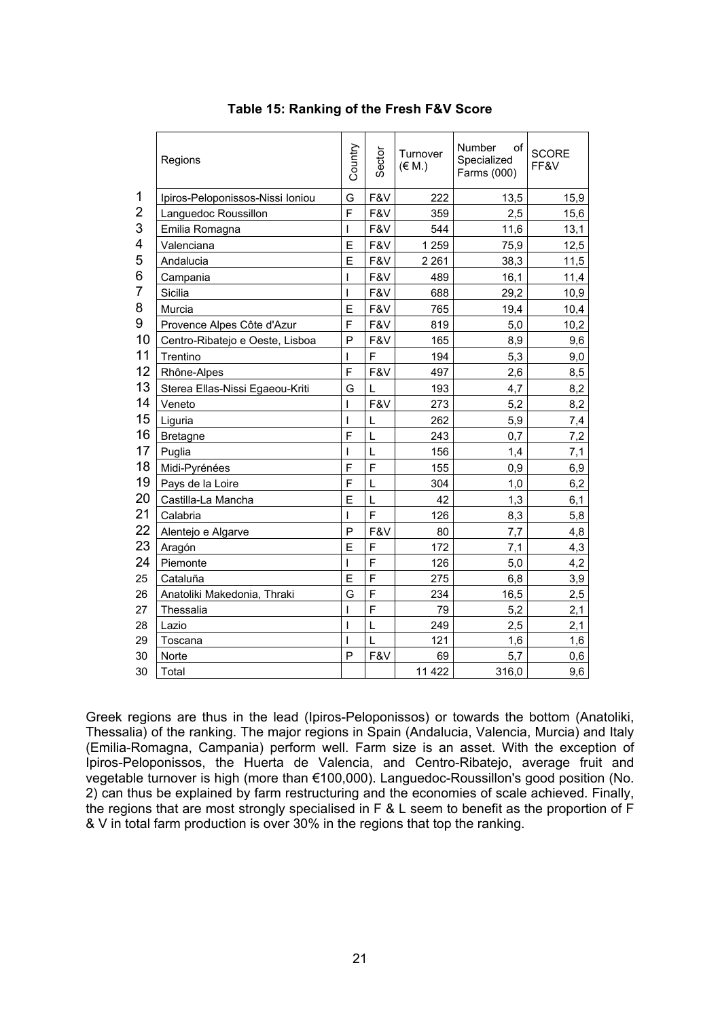|    | Regions                          | Country | Sector | Turnover<br>$(\in M.)$ | Number<br>οf<br>Specialized<br>Farms (000) | <b>SCORE</b><br>FF&V |
|----|----------------------------------|---------|--------|------------------------|--------------------------------------------|----------------------|
| 1  | Ipiros-Peloponissos-Nissi Ioniou | G       | F&V    | 222                    | 13,5                                       | 15,9                 |
| 2  | Languedoc Roussillon             | Ë       | F&V    | 359                    | 2,5                                        | 15,6                 |
| 3  | Emilia Romagna                   | T       | F&V    | 544                    | 11,6                                       | 13,1                 |
| 4  | Valenciana                       | E       | F&V    | 1 2 5 9                | 75,9                                       | 12,5                 |
| 5  | Andalucia                        | E       | F&V    | 2 2 6 1                | 38,3                                       | 11,5                 |
| 6  | Campania                         | ı       | F&V    | 489                    | 16,1                                       | 11,4                 |
| 7  | Sicilia                          | ı       | F&V    | 688                    | 29,2                                       | 10,9                 |
| 8  | Murcia                           | E       | F&V    | 765                    | 19,4                                       | 10,4                 |
| 9  | Provence Alpes Côte d'Azur       | F       | F&V    | 819                    | 5,0                                        | 10,2                 |
| 10 | Centro-Ribatejo e Oeste, Lisboa  | P       | F&V    | 165                    | 8,9                                        | 9,6                  |
| 11 | Trentino                         | ı       | F      | 194                    | 5,3                                        | 9,0                  |
| 12 | Rhône-Alpes                      | F       | F&V    | 497                    | 2,6                                        | 8,5                  |
| 13 | Sterea Ellas-Nissi Egaeou-Kriti  | G       |        | 193                    | 4,7                                        | 8,2                  |
| 14 | Veneto                           | ı       | F&V    | 273                    | 5,2                                        | 8,2                  |
| 15 | Liguria                          |         | L      | 262                    | 5,9                                        | 7,4                  |
| 16 | <b>Bretagne</b>                  | F       |        | 243                    | 0,7                                        | 7,2                  |
| 17 | Puglia                           | ı       | L      | 156                    | 1,4                                        | 7,1                  |
| 18 | Midi-Pyrénées                    | F       | F      | 155                    | 0,9                                        | 6,9                  |
| 19 | Pays de la Loire                 | F       |        | 304                    | 1,0                                        | 6,2                  |
| 20 | Castilla-La Mancha               | E       | L      | 42                     | 1,3                                        | 6,1                  |
| 21 | Calabria                         | ı       | F      | 126                    | 8,3                                        | 5,8                  |
| 22 | Alentejo e Algarve               | P       | F&V    | 80                     | 7,7                                        | 4,8                  |
| 23 | Aragón                           | E       | F      | 172                    | 7,1                                        | 4,3                  |
| 24 | Piemonte                         | ı       | F      | 126                    | 5,0                                        | 4,2                  |
| 25 | Cataluña                         | E       | F      | 275                    | 6,8                                        | 3,9                  |
| 26 | Anatoliki Makedonia, Thraki      | G       | F      | 234                    | 16,5                                       | 2,5                  |
| 27 | Thessalia                        | I       | F      | 79                     | 5.2                                        | 2,1                  |
| 28 | Lazio                            | I       | L      | 249                    | 2,5                                        | 2,1                  |
| 29 | Toscana                          |         |        | 121                    | 1,6                                        | 1,6                  |
| 30 | Norte                            | P       | F&V    | 69                     | 5,7                                        | 0,6                  |
| 30 | Total                            |         |        | 11 4 22                | 316,0                                      | 9,6                  |

### **Table 15: Ranking of the Fresh F&V Score**

Greek regions are thus in the lead (Ipiros-Peloponissos) or towards the bottom (Anatoliki, Thessalia) of the ranking. The major regions in Spain (Andalucia, Valencia, Murcia) and Italy (Emilia-Romagna, Campania) perform well. Farm size is an asset. With the exception of Ipiros-Peloponissos, the Huerta de Valencia, and Centro-Ribatejo, average fruit and vegetable turnover is high (more than €100,000). Languedoc-Roussillon's good position (No. 2) can thus be explained by farm restructuring and the economies of scale achieved. Finally, the regions that are most strongly specialised in F & L seem to benefit as the proportion of F & V in total farm production is over 30% in the regions that top the ranking.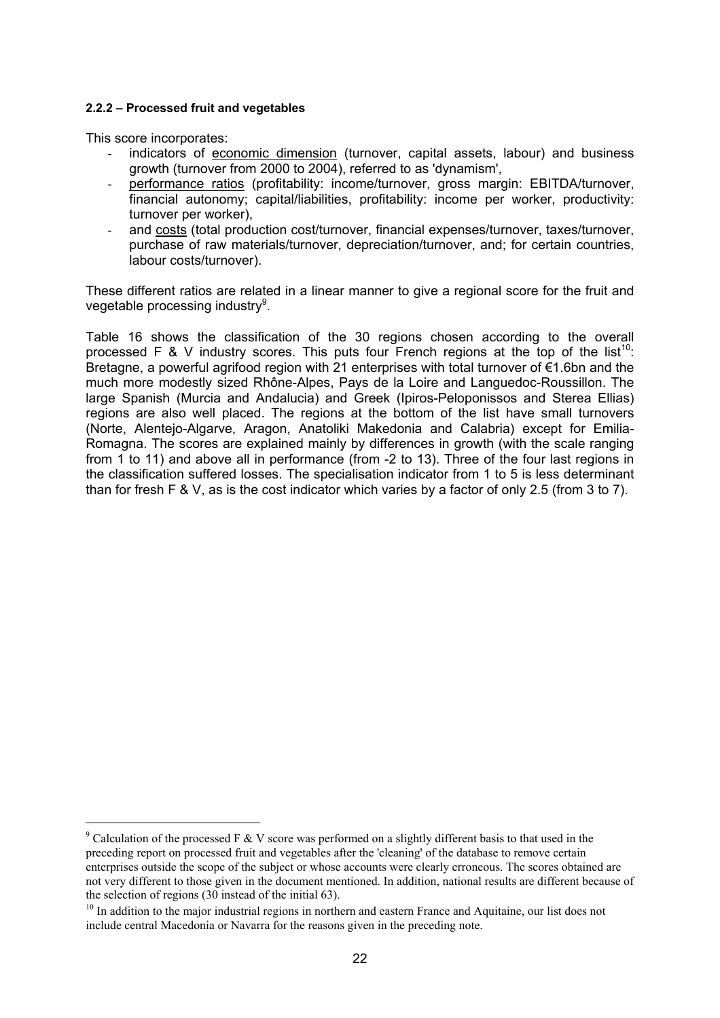#### **2.2.2 – Processed fruit and vegetables**

This score incorporates:

 $\overline{a}$ 

- indicators of economic dimension (turnover, capital assets, labour) and business growth (turnover from 2000 to 2004), referred to as 'dynamism',
- performance ratios (profitability: income/turnover, gross margin: EBITDA/turnover, financial autonomy; capital/liabilities, profitability: income per worker, productivity: turnover per worker),
- and costs (total production cost/turnover, financial expenses/turnover, taxes/turnover, purchase of raw materials/turnover, depreciation/turnover, and; for certain countries, labour costs/turnover).

These different ratios are related in a linear manner to give a regional score for the fruit and vegetable processing industry $^{9}$ .

Table 16 shows the classification of the 30 regions chosen according to the overall processed F & V industry scores. This puts four French regions at the top of the list<sup>10</sup>: Bretagne, a powerful agrifood region with 21 enterprises with total turnover of €1.6bn and the much more modestly sized Rhône-Alpes, Pays de la Loire and Languedoc-Roussillon. The large Spanish (Murcia and Andalucia) and Greek (Ipiros-Peloponissos and Sterea Ellias) regions are also well placed. The regions at the bottom of the list have small turnovers (Norte, Alentejo-Algarve, Aragon, Anatoliki Makedonia and Calabria) except for Emilia-Romagna. The scores are explained mainly by differences in growth (with the scale ranging from 1 to 11) and above all in performance (from -2 to 13). Three of the four last regions in the classification suffered losses. The specialisation indicator from 1 to 5 is less determinant than for fresh F & V, as is the cost indicator which varies by a factor of only 2.5 (from 3 to 7).

<sup>&</sup>lt;sup>9</sup> Calculation of the processed F & V score was performed on a slightly different basis to that used in the preceding report on processed fruit and vegetables after the 'cleaning' of the database to remove certain enterprises outside the scope of the subject or whose accounts were clearly erroneous. The scores obtained are not very different to those given in the document mentioned. In addition, national results are different because of the selection of regions (30 instead of the initial 63).

<sup>&</sup>lt;sup>10</sup> In addition to the major industrial regions in northern and eastern France and Aquitaine, our list does not include central Macedonia or Navarra for the reasons given in the preceding note.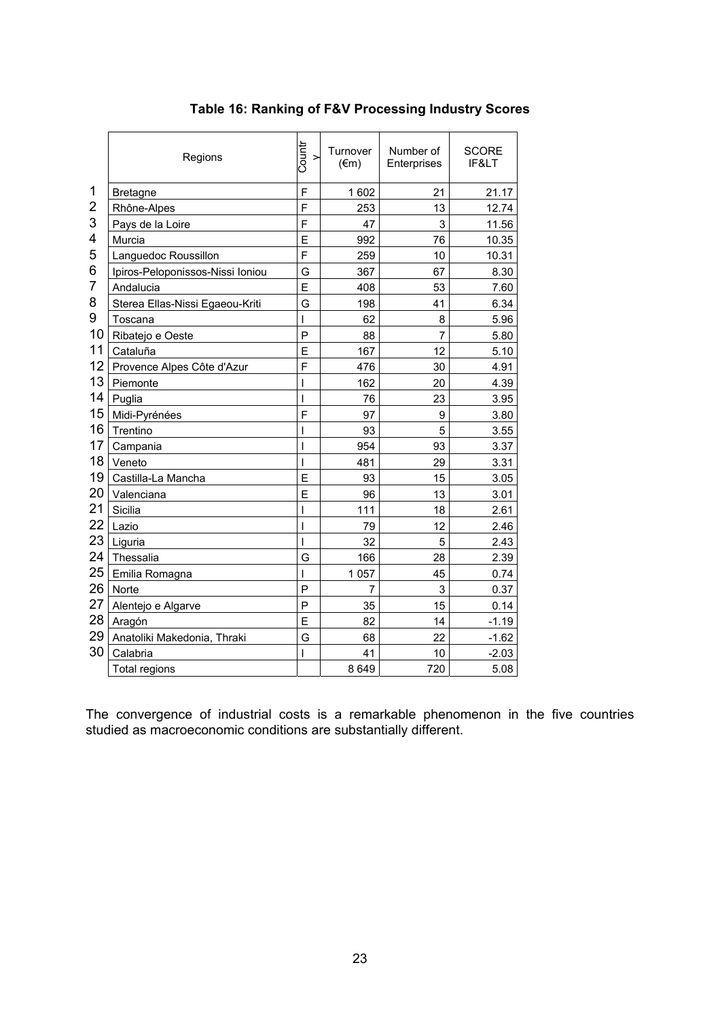|                | Regions                          | Countr<br>$\geq$ | Turnover<br>$(\epsilon m)$ | Number of<br>Enterprises | <b>SCORE</b><br>IF< |
|----------------|----------------------------------|------------------|----------------------------|--------------------------|---------------------|
| 1              | <b>Bretagne</b>                  | F                | 1602                       | 21                       | 21.17               |
| $\overline{2}$ | Rhône-Alpes                      | F                | 253                        | 13                       | 12.74               |
| 3              | Pays de la Loire                 | F                | 47                         | 3                        | 11.56               |
| 4              | Murcia                           | E                | 992                        | 76                       | 10.35               |
| 5              | Languedoc Roussillon             | F                | 259                        | 10                       | 10.31               |
| 6              | Ipiros-Peloponissos-Nissi Ioniou | G                | 367                        | 67                       | 8.30                |
| 7              | Andalucia                        | E                | 408                        | 53                       | 7.60                |
| 8              | Sterea Ellas-Nissi Egaeou-Kriti  | G                | 198                        | 41                       | 6.34                |
| 9              | Toscana                          | I                | 62                         | 8                        | 5.96                |
| 10             | Ribatejo e Oeste                 | P                | 88                         | $\overline{7}$           | 5.80                |
| 11             | Cataluña                         | E                | 167                        | 12                       | 5.10                |
| 12             | Provence Alpes Côte d'Azur       | F                | 476                        | 30                       | 4.91                |
| 13             | Piemonte                         | $\mathsf{I}$     | 162                        | 20                       | 4.39                |
| 14             | Puglia                           | I                | 76                         | 23                       | 3.95                |
| 15             | Midi-Pyrénées                    | F                | 97                         | 9                        | 3.80                |
| 16             | Trentino                         | I                | 93                         | 5                        | 3.55                |
| 17             | Campania                         | I                | 954                        | 93                       | 3.37                |
| 18             | Veneto                           | $\mathsf{I}$     | 481                        | 29                       | 3.31                |
| 19             | Castilla-La Mancha               | E                | 93                         | 15                       | 3.05                |
| 20             | Valenciana                       | E                | 96                         | 13                       | 3.01                |
| 21             | Sicilia                          | I                | 111                        | 18                       | 2.61                |
| 22             | Lazio                            | I                | 79                         | 12                       | 2.46                |
| 23             | Liguria                          | $\mathsf{I}$     | 32                         | 5                        | 2.43                |
| 24             | Thessalia                        | G                | 166                        | 28                       | 2.39                |
| 25             | Emilia Romagna                   | $\mathsf{I}$     | 1 0 5 7                    | 45                       | 0.74                |
| 26             | Norte                            | P                | 7                          | 3                        | 0.37                |
| 27             | Alentejo e Algarve               | P                | 35                         | 15                       | 0.14                |
| 28             | Aragón                           | E                | 82                         | 14                       | $-1.19$             |
| 29             | Anatoliki Makedonia, Thraki      | Ġ                | 68                         | 22                       | $-1.62$             |
| 30             | Calabria                         | $\mathsf{I}$     | 41                         | 10                       | $-2.03$             |
|                | Total regions                    |                  | 8649                       | 720                      | 5.08                |

# **Table 16: Ranking of F&V Processing Industry Scores**

The convergence of industrial costs is a remarkable phenomenon in the five countries studied as macroeconomic conditions are substantially different.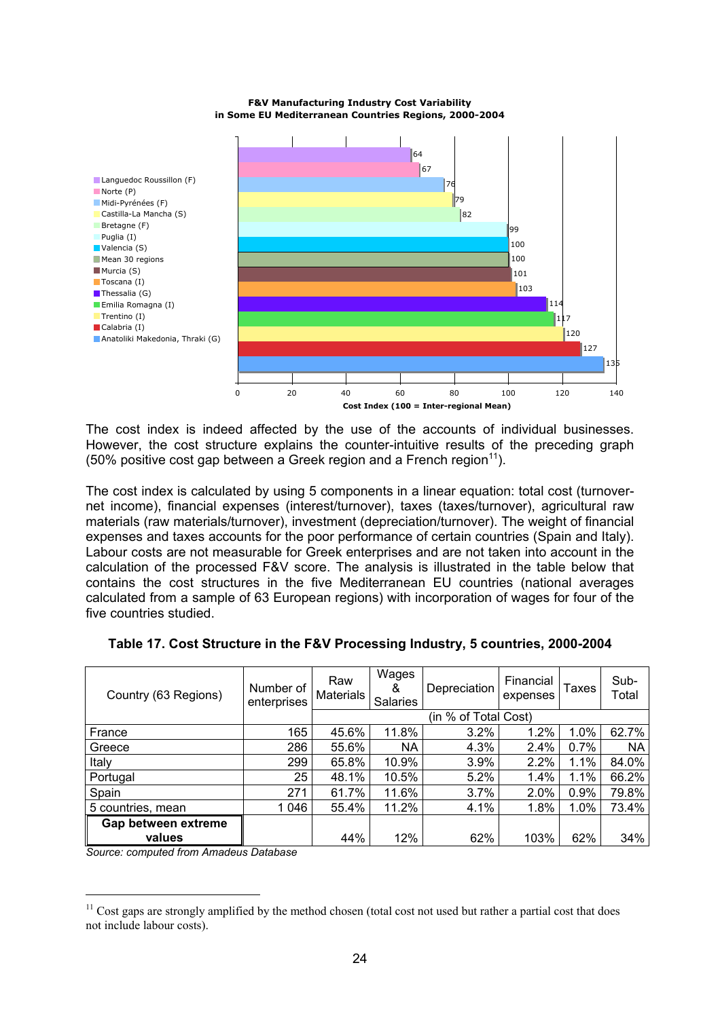**F&V Manufacturing Industry Cost Variability in Some EU Mediterranean Countries Regions, 2000-2004**



The cost index is indeed affected by the use of the accounts of individual businesses. However, the cost structure explains the counter-intuitive results of the preceding graph (50% positive cost gap between a Greek region and a French region<sup>11</sup>).

The cost index is calculated by using 5 components in a linear equation: total cost (turnovernet income), financial expenses (interest/turnover), taxes (taxes/turnover), agricultural raw materials (raw materials/turnover), investment (depreciation/turnover). The weight of financial expenses and taxes accounts for the poor performance of certain countries (Spain and Italy). Labour costs are not measurable for Greek enterprises and are not taken into account in the calculation of the processed F&V score. The analysis is illustrated in the table below that contains the cost structures in the five Mediterranean EU countries (national averages calculated from a sample of 63 European regions) with incorporation of wages for four of the five countries studied.

| Country (63 Regions)          | Number of<br>enterprises | Raw<br><b>Materials</b> | Wages<br>&<br>Salaries | Depreciation | Financial<br>expenses | Taxes   | Sub-<br>Total |  |
|-------------------------------|--------------------------|-------------------------|------------------------|--------------|-----------------------|---------|---------------|--|
|                               |                          |                         | (in % of Total Cost)   |              |                       |         |               |  |
| France                        | 165                      | 45.6%                   | 11.8%                  | 3.2%         | 1.2%                  | 1.0%    | 62.7%         |  |
| Greece                        | 286                      | 55.6%                   | NA                     | 4.3%         | 2.4%                  | 0.7%    | NA            |  |
| Italy                         | 299                      | 65.8%                   | 10.9%                  | 3.9%         | 2.2%                  | 1.1%    | 84.0%         |  |
| Portugal                      | 25                       | 48.1%                   | 10.5%                  | 5.2%         | 1.4%                  | 1.1%    | 66.2%         |  |
| Spain                         | 271                      | 61.7%                   | 11.6%                  | 3.7%         | 2.0%                  | 0.9%    | 79.8%         |  |
| 5 countries, mean             | 1 046                    | 55.4%                   | 11.2%                  | 4.1%         | 1.8%                  | $1.0\%$ | 73.4%         |  |
| Gap between extreme<br>values |                          | 44%                     | 12%                    | 62%          | 103%                  | 62%     | 34%           |  |

| Table 17. Cost Structure in the F&V Processing Industry, 5 countries, 2000-2004 |  |  |  |
|---------------------------------------------------------------------------------|--|--|--|
|                                                                                 |  |  |  |

*Source: computed from Amadeus Database* 

 $\overline{a}$ 

 $11$  Cost gaps are strongly amplified by the method chosen (total cost not used but rather a partial cost that does not include labour costs).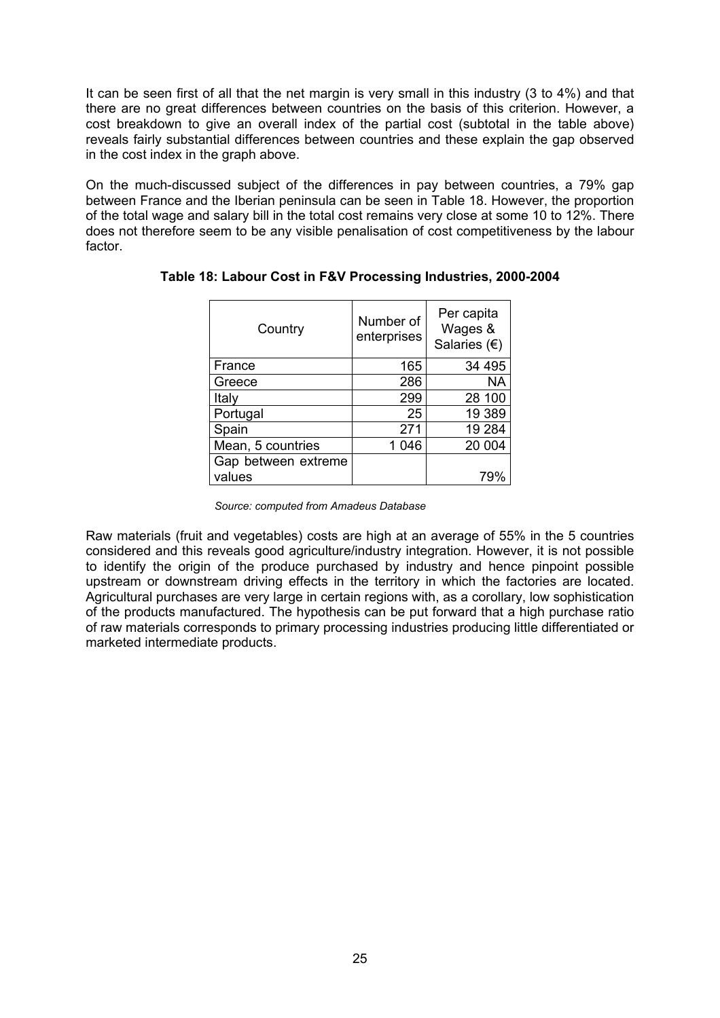It can be seen first of all that the net margin is very small in this industry (3 to 4%) and that there are no great differences between countries on the basis of this criterion. However, a cost breakdown to give an overall index of the partial cost (subtotal in the table above) reveals fairly substantial differences between countries and these explain the gap observed in the cost index in the graph above.

On the much-discussed subject of the differences in pay between countries, a 79% gap between France and the Iberian peninsula can be seen in Table 18. However, the proportion of the total wage and salary bill in the total cost remains very close at some 10 to 12%. There does not therefore seem to be any visible penalisation of cost competitiveness by the labour factor.

| Country             | Number of<br>enterprises | Per capita<br>Wages &<br>Salaries $(\epsilon)$ |  |  |
|---------------------|--------------------------|------------------------------------------------|--|--|
| France              | 165                      | 34 495                                         |  |  |
| Greece              | 286                      | <b>NA</b>                                      |  |  |
| Italy               | 299                      | 28 100                                         |  |  |
| Portugal            | 25                       | 19 389                                         |  |  |
| Spain               | 271                      | 19 284                                         |  |  |
| Mean, 5 countries   | 1 0 4 6                  | 20 004                                         |  |  |
| Gap between extreme |                          |                                                |  |  |
| values              |                          | 799                                            |  |  |

### **Table 18: Labour Cost in F&V Processing Industries, 2000-2004**

*Source: computed from Amadeus Database* 

Raw materials (fruit and vegetables) costs are high at an average of 55% in the 5 countries considered and this reveals good agriculture/industry integration. However, it is not possible to identify the origin of the produce purchased by industry and hence pinpoint possible upstream or downstream driving effects in the territory in which the factories are located. Agricultural purchases are very large in certain regions with, as a corollary, low sophistication of the products manufactured. The hypothesis can be put forward that a high purchase ratio of raw materials corresponds to primary processing industries producing little differentiated or marketed intermediate products.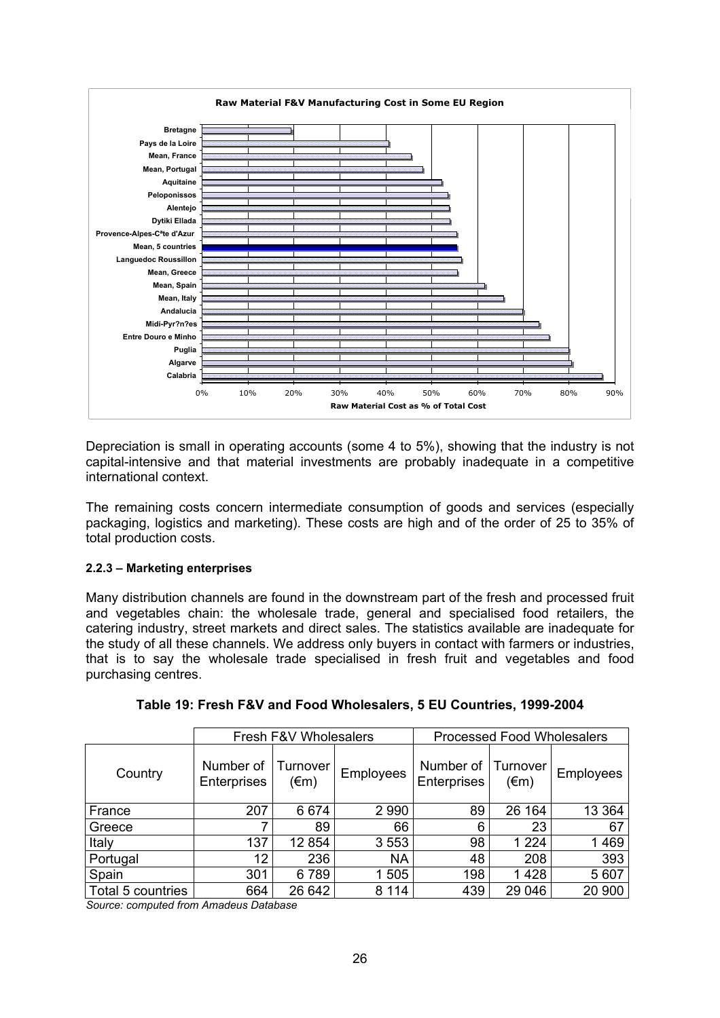

Depreciation is small in operating accounts (some 4 to 5%), showing that the industry is not capital-intensive and that material investments are probably inadequate in a competitive international context.

The remaining costs concern intermediate consumption of goods and services (especially packaging, logistics and marketing). These costs are high and of the order of 25 to 35% of total production costs.

### **2.2.3 – Marketing enterprises**

Many distribution channels are found in the downstream part of the fresh and processed fruit and vegetables chain: the wholesale trade, general and specialised food retailers, the catering industry, street markets and direct sales. The statistics available are inadequate for the study of all these channels. We address only buyers in contact with farmers or industries, that is to say the wholesale trade specialised in fresh fruit and vegetables and food purchasing centres.

|                   |                          | Fresh F&V Wholesalers |                  | <b>Processed Food Wholesalers</b> |                  |           |  |
|-------------------|--------------------------|-----------------------|------------------|-----------------------------------|------------------|-----------|--|
| Country           | Number of<br>Enterprises | Turnover<br>(€m)      | <b>Employees</b> | Number of<br>Enterprises          | Turnover<br>(€m) | Employees |  |
| France            | 207                      | 6674                  | 2 9 9 0          | 89                                | 26 164           | 13 3 64   |  |
| Greece            |                          | 89                    | 66               | 6                                 | 23               | 67        |  |
| Italy             | 137                      | 12 854                | 3553             | 98                                | 1 2 2 4          | 1469      |  |
| Portugal          | 12                       | 236                   | <b>NA</b>        | 48                                | 208              | 393       |  |
| Spain             | 301                      | 6789                  | 1 505            | 198                               | 1428             | 5 607     |  |
| Total 5 countries | 664                      | 26 642                | 8 1 1 4          | 439                               | 29 046           | 20 900    |  |

| Table 19: Fresh F&V and Food Wholesalers, 5 EU Countries, 1999-2004 |
|---------------------------------------------------------------------|
|---------------------------------------------------------------------|

*Source: computed from Amadeus Database*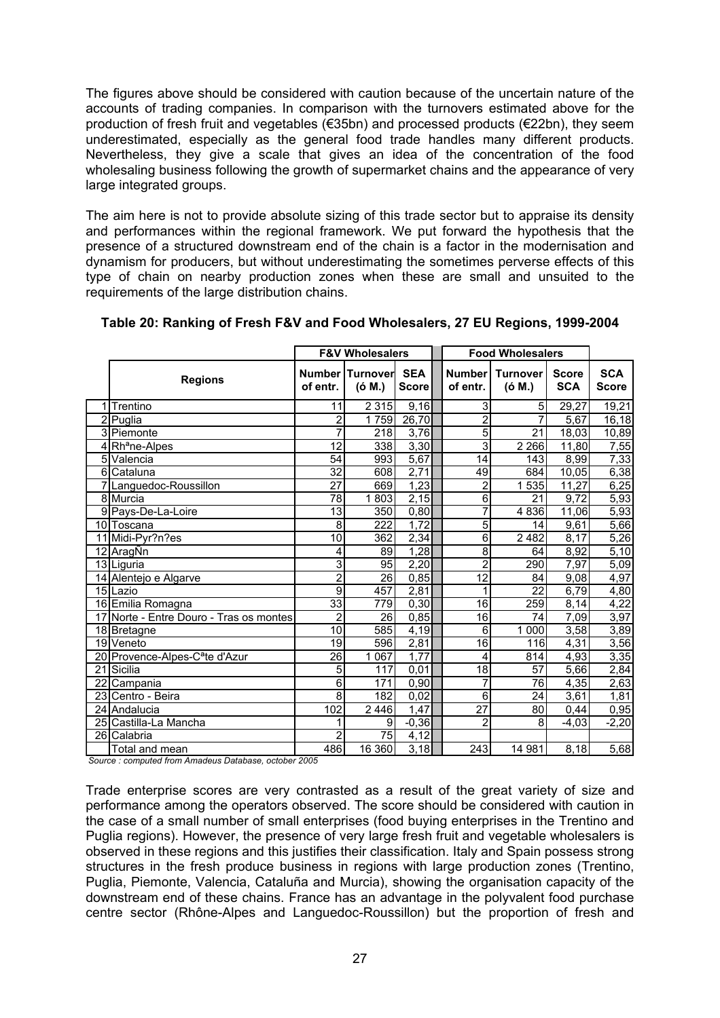The figures above should be considered with caution because of the uncertain nature of the accounts of trading companies. In comparison with the turnovers estimated above for the production of fresh fruit and vegetables (€35bn) and processed products (€22bn), they seem underestimated, especially as the general food trade handles many different products. Nevertheless, they give a scale that gives an idea of the concentration of the food wholesaling business following the growth of supermarket chains and the appearance of very large integrated groups.

The aim here is not to provide absolute sizing of this trade sector but to appraise its density and performances within the regional framework. We put forward the hypothesis that the presence of a structured downstream end of the chain is a factor in the modernisation and dynamism for producers, but without underestimating the sometimes perverse effects of this type of chain on nearby production zones when these are small and unsuited to the requirements of the large distribution chains.

|                |                                                                         |                 | <b>F&amp;V Wholesalers</b>  |                            |                           | <b>Food Wholesalers</b>   |                            |                            |
|----------------|-------------------------------------------------------------------------|-----------------|-----------------------------|----------------------------|---------------------------|---------------------------|----------------------------|----------------------------|
|                | <b>Regions</b>                                                          | of entr.        | Number   Turnover<br>(ó M.) | <b>SEA</b><br><b>Score</b> | <b>Number</b><br>of entr. | <b>Turnover</b><br>(6 M.) | <b>Score</b><br><b>SCA</b> | <b>SCA</b><br><b>Score</b> |
|                | 1 Trentino                                                              | 11              | 2 3 1 5                     | 9,16                       | 3                         | 5                         | 29,27                      | 19,21                      |
|                | 2 Puglia                                                                | 2               | 1759                        | 26,70                      | $\bar{2}$                 |                           | 5,67                       | 16, 18                     |
|                | 3 Piemonte                                                              | 7               | 218                         | 3,76                       | $\overline{5}$            | $\overline{21}$           | 18,03                      | 10,89                      |
|                | 4 Rh <sup>a</sup> ne-Alpes                                              | $\overline{12}$ | 338                         | 3,30                       | $\overline{3}$            | 2 2 6 6                   | 11,80                      | 7,55                       |
| 5              | Valencia                                                                | 54              | 993                         | 5,67                       | 14                        | 143                       | 8,99                       | 7,33                       |
| 6 <sup>1</sup> | Cataluna                                                                | $\overline{32}$ | 608                         | 2,71                       | 49                        | 684                       | 10,05                      | 6,38                       |
|                | 7 Languedoc-Roussillon                                                  | $\overline{27}$ | 669                         | 1,23                       | $\overline{\mathbf{c}}$   | 1 535                     | 11,27                      | 6,25                       |
|                | 8 Murcia                                                                | $\overline{78}$ | 1803                        | 2,15                       | $\overline{6}$            | 21                        | 9,72                       | 5,93                       |
|                | 9 Pays-De-La-Loire                                                      | 13              | 350                         | 0,80                       | 7                         | 4 8 3 6                   | 11,06                      | 5,93                       |
|                | 10 Toscana                                                              | 8               | $\overline{222}$            | 1,72                       | 5                         | 14                        | 9,61                       | 5,66                       |
|                | 11 Midi-Pyr?n?es                                                        | 10              | 362                         | 2,34                       | $\overline{6}$            | 2 4 8 2                   | 8,17                       | 5,26                       |
|                | 12 AragÑn                                                               | 4               | 89                          | 1,28                       | $\overline{8}$            | 64                        | 8,92                       | 5,10                       |
|                | 13 Liguria                                                              | 3               | 95                          | 2,20                       | $\overline{2}$            | 290                       | 7,97                       | 5,09                       |
|                | 14 Alentejo e Algarve                                                   | $\overline{2}$  | 26                          | 0,85                       | $\overline{12}$           | 84                        | 9,08                       | 4,97                       |
|                | 15 Lazio                                                                | 9               | 457                         | 2,81                       | 1                         | $\overline{22}$           | 6,79                       | 4,80                       |
|                | 16 Emilia Romagna                                                       | 33              | 779                         | 0,30                       | 16                        | 259                       | 8,14                       | 4,22                       |
|                | 17 Norte - Entre Douro - Tras os montes                                 | $\overline{2}$  | 26                          | 0,85                       | 16                        | 74                        | 7,09                       | 3,97                       |
|                | 18 Bretagne                                                             | $\overline{10}$ | 585                         | 4,19                       | 6                         | 1 000                     | 3,58                       | 3,89                       |
|                | 19 Veneto                                                               | $\overline{19}$ | 596                         | 2,81                       | $\overline{16}$           | 116                       | 4,31                       | 3,56                       |
|                | 20 Provence-Alpes-C <sup>a</sup> te d'Azur                              | 26              | 067<br>1                    | 1,77                       | 4                         | 814                       | 4,93                       | 3,35                       |
|                | 21 Sicilia                                                              | 5               | 117                         | 0.01                       | 18                        | 57                        | 5,66                       | 2,84                       |
|                | 22 Campania                                                             | 6               | 171                         | 0,90                       | 7                         | 76                        | 4,35                       | 2,63                       |
|                | 23 Centro - Beira                                                       | 8               | 182                         | 0,02                       | $\overline{6}$            | 24                        | 3,61                       | 1,81                       |
|                | 24 Andalucia                                                            | 102             | 2 4 4 6                     | 1,47                       | $\overline{27}$           | 80                        | 0,44                       | 0,95                       |
| 25             | Castilla-La Mancha                                                      | 1               | 9                           | $-0,36$                    | $\overline{2}$            | 8                         | -4,03                      | $-2,20$                    |
|                | 26 Calabria                                                             | $\overline{c}$  | 75                          | 4,12                       |                           |                           |                            |                            |
|                | Total and mean<br>Course : computed from Amodous Detabose, estabor 2005 | 486             | 16 360                      | 3,18                       | 243                       | 14 981                    | 8,18                       | 5,68                       |

#### **Table 20: Ranking of Fresh F&V and Food Wholesalers, 27 EU Regions, 1999-2004**

*Source : computed from Amadeus Database, october 2005*

Trade enterprise scores are very contrasted as a result of the great variety of size and performance among the operators observed. The score should be considered with caution in the case of a small number of small enterprises (food buying enterprises in the Trentino and Puglia regions). However, the presence of very large fresh fruit and vegetable wholesalers is observed in these regions and this justifies their classification. Italy and Spain possess strong structures in the fresh produce business in regions with large production zones (Trentino, Puglia, Piemonte, Valencia, Cataluña and Murcia), showing the organisation capacity of the downstream end of these chains. France has an advantage in the polyvalent food purchase centre sector (Rhône-Alpes and Languedoc-Roussillon) but the proportion of fresh and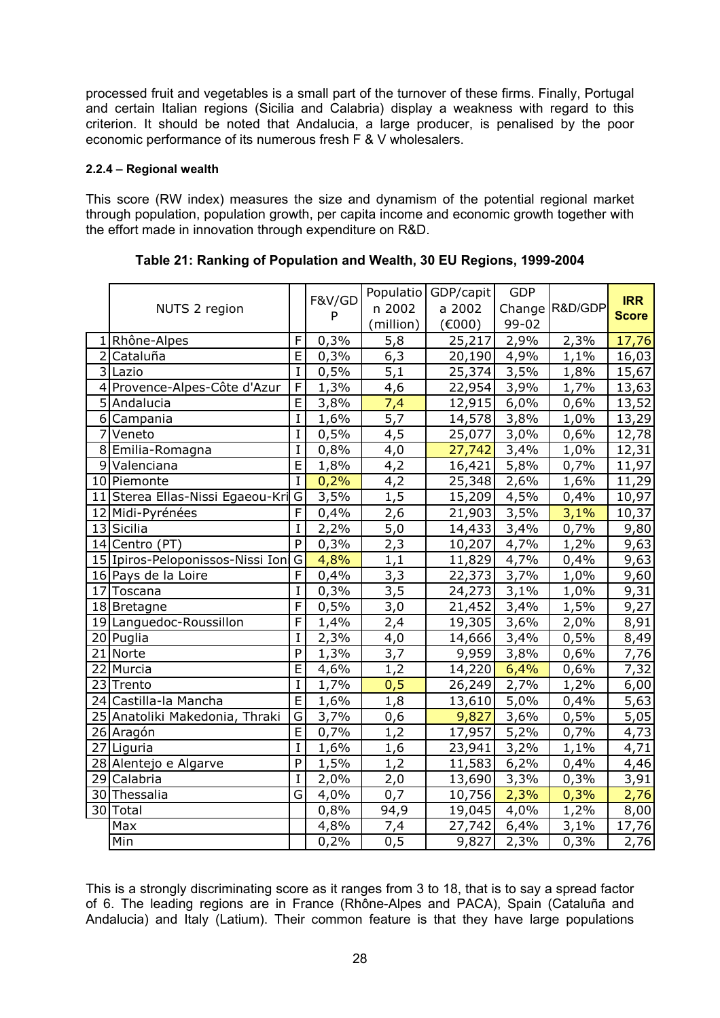processed fruit and vegetables is a small part of the turnover of these firms. Finally, Portugal and certain Italian regions (Sicilia and Calabria) display a weakness with regard to this criterion. It should be noted that Andalucia, a large producer, is penalised by the poor economic performance of its numerous fresh F & V wholesalers.

#### **2.2.4 – Regional wealth**

This score (RW index) measures the size and dynamism of the potential regional market through population, population growth, per capita income and economic growth together with the effort made in innovation through expenditure on R&D.

|                |                                  |                         | F&V/GD |           | Populatio GDP/capit | <b>GDP</b> |                | <b>IRR</b>   |
|----------------|----------------------------------|-------------------------|--------|-----------|---------------------|------------|----------------|--------------|
|                | NUTS 2 region                    |                         | P      | n 2002    | a 2002              |            | Change R&D/GDP | <b>Score</b> |
|                |                                  |                         |        | (million) | (6000)              | 99-02      |                |              |
|                | 1 Rhône-Alpes                    | F                       | 0,3%   | 5,8       | 25,217              | 2,9%       | 2,3%           | 17,76        |
|                | 2 Cataluña                       | $\overline{E}$          | 0,3%   | 6,3       | 20,190              | 4,9%       | 1,1%           | 16,03        |
|                | 3 Lazio                          | $\bf I$                 | 0,5%   | 5,1       | 25,374              | 3,5%       | 1,8%           | 15,67        |
|                | 4 Provence-Alpes-Côte d'Azur     | F                       | 1,3%   | 4,6       | 22,954              | 3,9%       | 1,7%           | 13,63        |
|                | 5 Andalucia                      | Ē                       | 3,8%   | 7,4       | 12,915              | 6,0%       | 0,6%           | 13,52        |
|                | 6 Campania                       | $\mathbf I$             | 1,6%   | 5,7       | 14,578              | 3,8%       | 1,0%           | 13,29        |
| $\overline{7}$ | Veneto                           | $\mathbf I$             | 0,5%   | 4,5       | 25,077              | 3,0%       | 0,6%           | 12,78        |
|                | 8 Emilia-Romagna                 | $\mathbf I$             | 0,8%   | 4,0       | 27,742              | 3,4%       | 1,0%           | 12,31        |
|                | 9 Valenciana                     | $\overline{\mathsf{E}}$ | 1,8%   | 4,2       | 16,421              | 5,8%       | 0,7%           | 11,97        |
|                | 10 Piemonte                      | $\mathbf I$             | 0,2%   | 4,2       | 25,348              | 2,6%       | 1,6%           | 11,29        |
|                | 11 Sterea Ellas-Nissi Egaeou-Kri | G                       | 3,5%   | 1,5       | 15,209              | 4,5%       | 0,4%           | 10,97        |
|                | 12 Midi-Pyrénées                 | F                       | 0,4%   | 2,6       | 21,903              | 3,5%       | 3,1%           | 10,37        |
|                | 13 Sicilia                       | $\mathbf I$             | 2,2%   | 5,0       | 14,433              | 3,4%       | 0,7%           | 9,80         |
|                | 14 Centro (PT)                   | $\overline{P}$          | 0,3%   | 2,3       | 10,207              | 4,7%       | 1,2%           | 9,63         |
|                | 15 Ipiros-Peloponissos-Nissi Ion | $\overline{G}$          | 4,8%   | 1,1       | 11,829              | 4,7%       | 0,4%           | 9,63         |
|                | 16 Pays de la Loire              | F                       | 0,4%   | 3,3       | 22,373              | 3,7%       | 1,0%           | 9,60         |
|                | 17 Toscana                       | $\mathbf I$             | 0,3%   | 3,5       | 24,273              | 3,1%       | 1,0%           | 9,31         |
|                | 18 Bretagne                      | F                       | 0,5%   | 3,0       | 21,452              | 3,4%       | 1,5%           | 9,27         |
|                | 19 Languedoc-Roussillon          | F                       | 1,4%   | 2,4       | 19,305              | 3,6%       | 2,0%           | 8,91         |
|                | 20 Puglia                        | I                       | 2,3%   | 4,0       | 14,666              | 3,4%       | 0,5%           | 8,49         |
|                | 21 Norte                         | $\mathsf{P}$            | 1,3%   | 3,7       | 9,959               | 3,8%       | 0,6%           | 7,76         |
|                | 22 Murcia                        | $\overline{E}$          | 4,6%   | 1,2       | 14,220              | 6,4%       | 0,6%           | 7,32         |
|                | 23 Trento                        | $\mathbf I$             | 1,7%   | 0,5       | 26,249              | 2,7%       | 1,2%           | 6,00         |
|                | 24 Castilla-la Mancha            | $\overline{E}$          | 1,6%   | 1,8       | 13,610              | 5,0%       | 0,4%           | 5,63         |
|                | 25 Anatoliki Makedonia, Thraki   | G                       | 3,7%   | 0,6       | 9,827               | 3,6%       | 0,5%           | 5,05         |
|                | 26 Aragón                        | $\overline{E}$          | 0,7%   | 1,2       | 17,957              | 5,2%       | 0,7%           | 4,73         |
|                | 27 Liguria                       | $\mathbf I$             | 1,6%   | 1,6       | 23,941              | 3,2%       | 1,1%           | 4,71         |
|                | 28 Alentejo e Algarve            | P                       | 1,5%   | 1,2       | 11,583              | 6,2%       | 0,4%           | 4,46         |
|                | 29 Calabria                      | $\mathbf I$             | 2,0%   | 2,0       | 13,690              | 3,3%       | 0,3%           | 3,91         |
|                | 30 Thessalia                     | G                       | 4,0%   | 0,7       | 10,756              | 2,3%       | 0,3%           | 2,76         |
|                | 30 Total                         |                         | 0,8%   | 94,9      | 19,045              | 4,0%       | 1,2%           | 8,00         |
|                | Max                              |                         | 4,8%   | 7,4       | 27,742              | 6,4%       | 3,1%           | 17,76        |
|                | Min                              |                         | 0,2%   | 0,5       | 9,827               | 2,3%       | 0,3%           | 2,76         |

This is a strongly discriminating score as it ranges from 3 to 18, that is to say a spread factor of 6. The leading regions are in France (Rhône-Alpes and PACA), Spain (Cataluña and Andalucia) and Italy (Latium). Their common feature is that they have large populations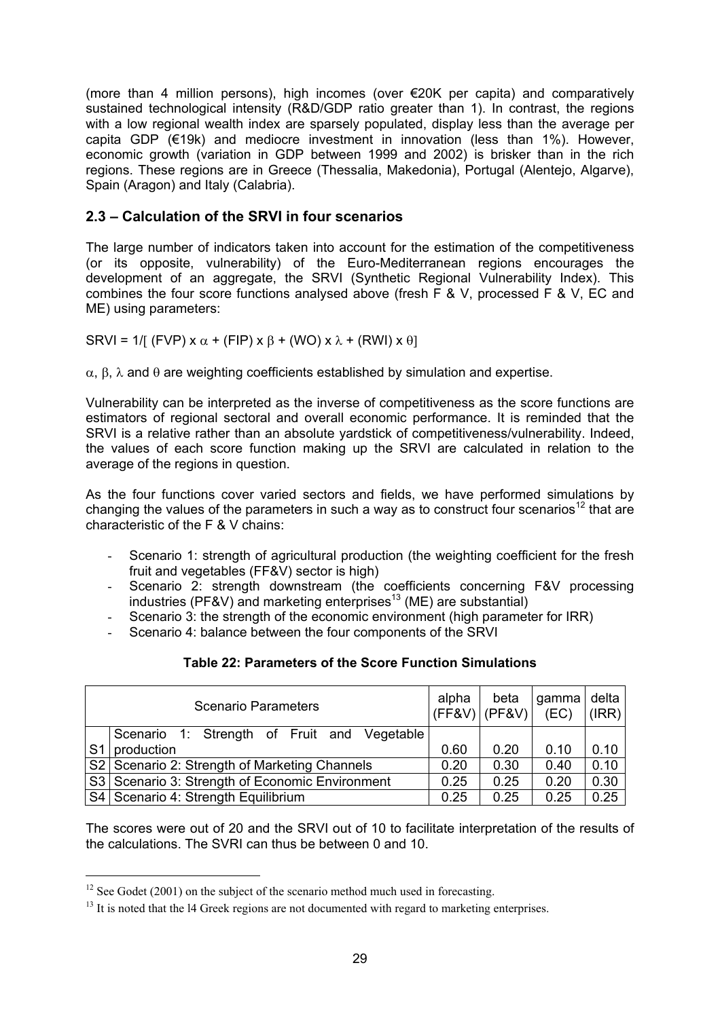(more than 4 million persons), high incomes (over €20K per capita) and comparatively sustained technological intensity (R&D/GDP ratio greater than 1). In contrast, the regions with a low regional wealth index are sparsely populated, display less than the average per capita GDP (€19k) and mediocre investment in innovation (less than 1%). However, economic growth (variation in GDP between 1999 and 2002) is brisker than in the rich regions. These regions are in Greece (Thessalia, Makedonia), Portugal (Alentejo, Algarve), Spain (Aragon) and Italy (Calabria).

# **2.3 – Calculation of the SRVI in four scenarios**

The large number of indicators taken into account for the estimation of the competitiveness (or its opposite, vulnerability) of the Euro-Mediterranean regions encourages the development of an aggregate, the SRVI (Synthetic Regional Vulnerability Index). This combines the four score functions analysed above (fresh F & V, processed F & V, EC and ME) using parameters:

SRVI = 1/[ (FVP) x  $\alpha$  + (FIP) x  $\beta$  + (WO) x  $\lambda$  + (RWI) x  $\theta$ ]

α, β, λ and θ are weighting coefficients established by simulation and expertise.

Vulnerability can be interpreted as the inverse of competitiveness as the score functions are estimators of regional sectoral and overall economic performance. It is reminded that the SRVI is a relative rather than an absolute yardstick of competitiveness/vulnerability. Indeed, the values of each score function making up the SRVI are calculated in relation to the average of the regions in question.

As the four functions cover varied sectors and fields, we have performed simulations by changing the values of the parameters in such a way as to construct four scenarios<sup>12</sup> that are characteristic of the F & V chains:

- Scenario 1: strength of agricultural production (the weighting coefficient for the fresh fruit and vegetables (FF&V) sector is high)
- Scenario 2: strength downstream (the coefficients concerning F&V processing industries (PF&V) and marketing enterprises<sup>13</sup> (ME) are substantial)
- Scenario 3: the strength of the economic environment (high parameter for IRR)
- Scenario 4: balance between the four components of the SRVI

| Table 22: Parameters of the Score Function Simulations |  |  |
|--------------------------------------------------------|--|--|
|                                                        |  |  |

|                | <b>Scenario Parameters</b>                        | alpha | beta<br>$ $ (FF&V) $ $ (PF&V) $ $ | gamma delta<br>(EC) | $( RR\rangle)$ |
|----------------|---------------------------------------------------|-------|-----------------------------------|---------------------|----------------|
|                | Scenario 1: Strength of Fruit and Vegetable       |       |                                   |                     |                |
| S <sub>1</sub> | production                                        | 0.60  | 0.20                              | 0.10                | 0.10           |
|                | S2 Scenario 2: Strength of Marketing Channels     | 0.20  | 0.30                              | 0.40                | 0.10           |
|                | S3   Scenario 3: Strength of Economic Environment | 0.25  | 0.25                              | 0.20                | 0.30           |
|                | S4   Scenario 4: Strength Equilibrium             | 0.25  | 0.25                              | 0.25                | 0.25           |

The scores were out of 20 and the SRVI out of 10 to facilitate interpretation of the results of the calculations. The SVRI can thus be between 0 and 10.

 $\overline{a}$ 

 $12$  See Godet (2001) on the subject of the scenario method much used in forecasting.

 $13$  It is noted that the 14 Greek regions are not documented with regard to marketing enterprises.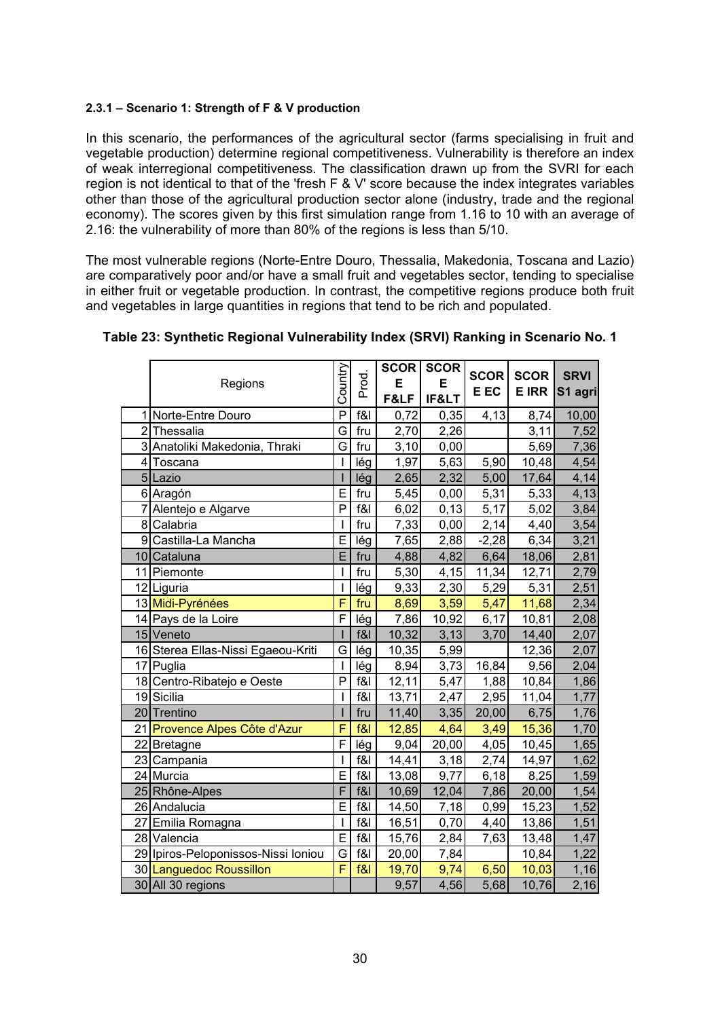#### **2.3.1 – Scenario 1: Strength of F & V production**

In this scenario, the performances of the agricultural sector (farms specialising in fruit and vegetable production) determine regional competitiveness. Vulnerability is therefore an index of weak interregional competitiveness. The classification drawn up from the SVRI for each region is not identical to that of the 'fresh F & V' score because the index integrates variables other than those of the agricultural production sector alone (industry, trade and the regional economy). The scores given by this first simulation range from 1.16 to 10 with an average of 2.16: the vulnerability of more than 80% of the regions is less than 5/10.

The most vulnerable regions (Norte-Entre Douro, Thessalia, Makedonia, Toscana and Lazio) are comparatively poor and/or have a small fruit and vegetables sector, tending to specialise in either fruit or vegetable production. In contrast, the competitive regions produce both fruit and vegetables in large quantities in regions that tend to be rich and populated.

|    | Regions                             | Country                 | Prod.  | SCOR<br>Е<br>F&LF  | <b>SCOR</b><br>Е<br>IF< | <b>SCOR</b><br>E EC | <b>SCOR</b><br><b>E IRR</b> | <b>SRVI</b><br>S1 agri |
|----|-------------------------------------|-------------------------|--------|--------------------|-------------------------|---------------------|-----------------------------|------------------------|
|    | Norte-Entre Douro                   | P                       | f&     | 0,72               | 0,35                    | 4,13                | 8,74                        | 10,00                  |
|    | 2 Thessalia                         | G                       | fru    | 2,70               | 2,26                    |                     | 3,11                        | 7,52                   |
|    | 3 Anatoliki Makedonia, Thraki       | G                       | fru    | 3,10               | 0,00                    |                     | 5,69                        | 7,36                   |
|    | 4 Toscana                           |                         | lég    | $\overline{1,97}$  | 5,63                    | 5,90                | 10,48                       | 4,54                   |
|    | 5 Lazio                             |                         | lég    | 2,65               | 2,32                    | 5,00                | 17,64                       | 4,14                   |
|    | 6 Aragón                            | E                       | fru    | 5,45               | 0,00                    | 5,31                | 5,33                        | 4,13                   |
|    | 7 Alentejo e Algarve                | P                       | f&I    | 6,02               | 0, 13                   | 5,17                | 5,02                        | 3,84                   |
|    | 8 Calabria                          |                         | fru    | 7,33               | 0,00                    | 2,14                | 4,40                        | 3,54                   |
|    | 9 Castilla-La Mancha                | E                       | lég    | $\overline{7,65}$  | 2,88                    | $-2,28$             | 6,34                        | 3,21                   |
|    | 10 Cataluna                         | E                       | fru    | 4,88               | 4,82                    | 6,64                | 18,06                       | 2,81                   |
|    | 11 Piemonte                         | I                       | fru    | 5,30               | 4,15                    | 11,34               | 12,71                       | 2,79                   |
|    | 12 Liguria                          |                         | lég    | 9,33               | 2,30                    | 5,29                | 5,31                        | 2,51                   |
|    | 13 Midi-Pyrénées                    | F                       | fru    | 8,69               | 3,59                    | 5,47                | 11,68                       | 2,34                   |
|    | 14 Pays de la Loire                 | $\mathsf{F}$            | lég    | 7,86               | 10,92                   | 6,17                | 10,81                       | 2,08                   |
|    | 15 Veneto                           |                         | f&     | 10,32              | 3,13                    | 3,70                | 14,40                       | 2,07                   |
|    | 16 Sterea Ellas-Nissi Egaeou-Kriti  | G                       | lég    | $\overline{10,35}$ | 5,99                    |                     | 12,36                       | 2,07                   |
|    | 17 Puglia                           |                         | lég    | 8,94               | 3,73                    | 16,84               | 9,56                        | 2,04                   |
|    | 18 Centro-Ribatejo e Oeste          | P                       | f&l    | 12,11              | 5,47                    | 1,88                | 10,84                       | 1,86                   |
|    | 19 Sicilia                          | ı                       | $f$ &l | 13,71              | 2,47                    | 2,95                | 11,04                       | 1,77                   |
|    | 20 Trentino                         |                         | fru    | 11,40              | 3,35                    | 20,00               | 6,75                        | 1,76                   |
|    | 21 Provence Alpes Côte d'Azur       | F                       | f&l    | 12,85              | 4,64                    | 3,49                | 15,36                       | 1,70                   |
|    | 22 Bretagne                         | F                       | lég    | 9,04               | 20,00                   | 4,05                | 10,45                       | 1,65                   |
|    | 23 Campania                         |                         | f&I    | 14,41              | 3,18                    | 2,74                | 14,97                       | 1,62                   |
|    | 24 Murcia                           | E                       | $f$ &l | 13,08              | 9,77                    | 6,18                | 8,25                        | 1,59                   |
|    | 25 Rhône-Alpes                      | $\overline{\mathsf{F}}$ | f&     | 10,69              | 12,04                   | 7,86                | 20,00                       | 1,54                   |
|    | 26 Andalucia                        | E                       | f&     | 14,50              | 7,18                    | 0,99                | 15,23                       | 1,52                   |
| 27 | Emilia Romagna                      |                         | f&l    | 16,51              | 0,70                    | 4,40                | 13,86                       | 1,51                   |
|    | 28 Valencia                         | E                       | f&     | 15,76              | 2,84                    | 7,63                | 13,48                       | 1,47                   |
|    | 29 Ipiros-Peloponissos-Nissi Ioniou | G                       | f&l    | 20,00              | 7,84                    |                     | 10,84                       | 1,22                   |
|    | 30 Languedoc Roussillon             | F                       | f&     | 19,70              | 9,74                    | 6,50                | 10,03                       | 1,16                   |
|    | 30 All 30 regions                   |                         |        | 9,57               | 4,56                    | 5,68                | 10,76                       | 2,16                   |

### **Table 23: Synthetic Regional Vulnerability Index (SRVI) Ranking in Scenario No. 1**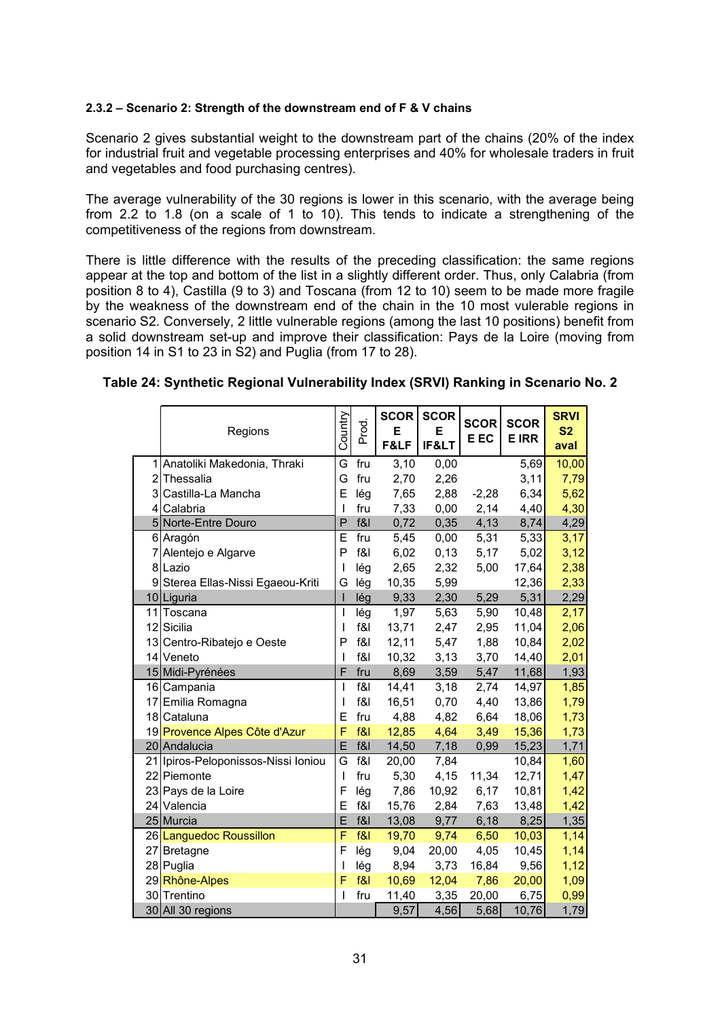#### **2.3.2 – Scenario 2: Strength of the downstream end of F & V chains**

Scenario 2 gives substantial weight to the downstream part of the chains (20% of the index for industrial fruit and vegetable processing enterprises and 40% for wholesale traders in fruit and vegetables and food purchasing centres).

The average vulnerability of the 30 regions is lower in this scenario, with the average being from 2.2 to 1.8 (on a scale of 1 to 10). This tends to indicate a strengthening of the competitiveness of the regions from downstream.

There is little difference with the results of the preceding classification: the same regions appear at the top and bottom of the list in a slightly different order. Thus, only Calabria (from position 8 to 4), Castilla (9 to 3) and Toscana (from 12 to 10) seem to be made more fragile by the weakness of the downstream end of the chain in the 10 most vulerable regions in scenario S2. Conversely, 2 little vulnerable regions (among the last 10 positions) benefit from a solid downstream set-up and improve their classification: Pays de la Loire (moving from position 14 in S1 to 23 in S2) and Puglia (from 17 to 28).

|    | Regions                             | Country                  | Prod. | <b>SCOR</b><br>Е<br>F&LF | <b>SCOR</b><br>Е<br>IF< | <b>SCOR</b><br>E EC | <b>SCOR</b><br><b>E IRR</b> | <b>SRVI</b><br>S <sub>2</sub><br>aval |
|----|-------------------------------------|--------------------------|-------|--------------------------|-------------------------|---------------------|-----------------------------|---------------------------------------|
| 1  | Anatoliki Makedonia, Thraki         | G                        | fru   | 3,10                     | 0,00                    |                     | 5,69                        | 10,00                                 |
|    | 2 Thessalia                         | G                        | fru   | 2,70                     | 2,26                    |                     | 3,11                        | 7,79                                  |
|    | 3 Castilla-La Mancha                | E                        | lég   | 7,65                     | 2,88                    | $-2,28$             | 6,34                        | 5,62                                  |
|    | 4 Calabria                          | ı                        | fru   | 7,33                     | 0,00                    | 2,14                | 4,40                        | 4,30                                  |
|    | 5 Norte-Entre Douro                 | P                        | f&I   | 0,72                     | 0,35                    | 4,13                | 8,74                        | 4,29                                  |
|    | 6 Aragón                            | E                        | fru   | 5,45                     | 0,00                    | 5,31                | 5,33                        | 3,17                                  |
| 7  | Alentejo e Algarve                  | P                        | f&l   | 6,02                     | 0, 13                   | 5,17                | 5,02                        | 3,12                                  |
|    | 8 Lazio                             | I                        | lég   | 2,65                     | 2,32                    | 5,00                | 17,64                       | 2,38                                  |
| 9  | Sterea Ellas-Nissi Egaeou-Kriti     | G                        | lég   | 10,35                    | 5,99                    |                     | 12,36                       | 2,33                                  |
|    | 10 Liguria                          | $\overline{\phantom{a}}$ | lég   | 9,33                     | 2,30                    | 5,29                | 5,31                        | 2,29                                  |
| 11 | Toscana                             | I                        | lég   | 1,97                     | 5,63                    | 5,90                | 10,48                       | 2,17                                  |
|    | 12 Sicilia                          | I                        | f&I   | 13,71                    | 2,47                    | 2,95                | 11,04                       | 2,06                                  |
|    | 13 Centro-Ribatejo e Oeste          | P                        | f&    | 12,11                    | 5,47                    | 1,88                | 10,84                       | 2,02                                  |
|    | 14 Veneto                           | I                        | f&I   | 10,32                    | 3,13                    | 3,70                | 14,40                       | 2,01                                  |
|    | 15 Midi-Pyrénées                    | F                        | fru   | 8,69                     | 3,59                    | 5,47                | 11,68                       | 1,93                                  |
|    | 16 Campania                         | I                        | f&I   | 14,41                    | 3,18                    | 2,74                | 14,97                       | 1,85                                  |
|    | 17 Emilia Romagna                   | I                        | f&I   | 16,51                    | 0,70                    | 4,40                | 13,86                       | 1,79                                  |
|    | 18 Cataluna                         | Е                        | fru   | 4,88                     | 4,82                    | 6,64                | 18,06                       | 1,73                                  |
|    | 19 Provence Alpes Côte d'Azur       | F                        | f&l   | 12,85                    | 4,64                    | 3,49                | 15,36                       | 1,73                                  |
|    | 20 Andalucia                        | E                        | f&l   | 14,50                    | 7,18                    | 0,99                | 15,23                       | 1,71                                  |
|    | 21 Ipiros-Peloponissos-Nissi Ioniou | G                        | f&l   | 20,00                    | 7,84                    |                     | 10,84                       | 1,60                                  |
|    | 22 Piemonte                         | I                        | fru   | 5,30                     | 4,15                    | 11,34               | 12,71                       | 1,47                                  |
|    | 23 Pays de la Loire                 | F                        | lég   | 7,86                     | 10,92                   | 6,17                | 10,81                       | 1,42                                  |
|    | 24 Valencia                         | E                        | f&l   | 15,76                    | 2,84                    | 7,63                | 13,48                       | 1,42                                  |
|    | 25 Murcia                           | E                        | f&I   | 13,08                    | 9,77                    | 6,18                | 8,25                        | 1,35                                  |
|    | 26 Languedoc Roussillon             | F                        | f&l   | 19,70                    | 9,74                    | 6,50                | 10,03                       | 1,14                                  |
| 27 | <b>Bretagne</b>                     | F                        | lég   | 9,04                     | 20,00                   | 4,05                | 10,45                       | 1,14                                  |
|    | 28 Puglia                           | I                        | lég   | 8,94                     | 3,73                    | 16,84               | 9,56                        | 1,12                                  |
|    | 29 Rhône-Alpes                      | F                        | f&l   | 10,69                    | 12,04                   | 7,86                | 20,00                       | 1,09                                  |
|    | 30 Trentino                         | I                        | fru   | 11,40                    | 3,35                    | 20,00               | 6,75                        | 0,99                                  |
|    | 30 All 30 regions                   |                          |       | 9,57                     | 4,56                    | 5,68                | 10,76                       | 1,79                                  |

#### **Table 24: Synthetic Regional Vulnerability Index (SRVI) Ranking in Scenario No. 2**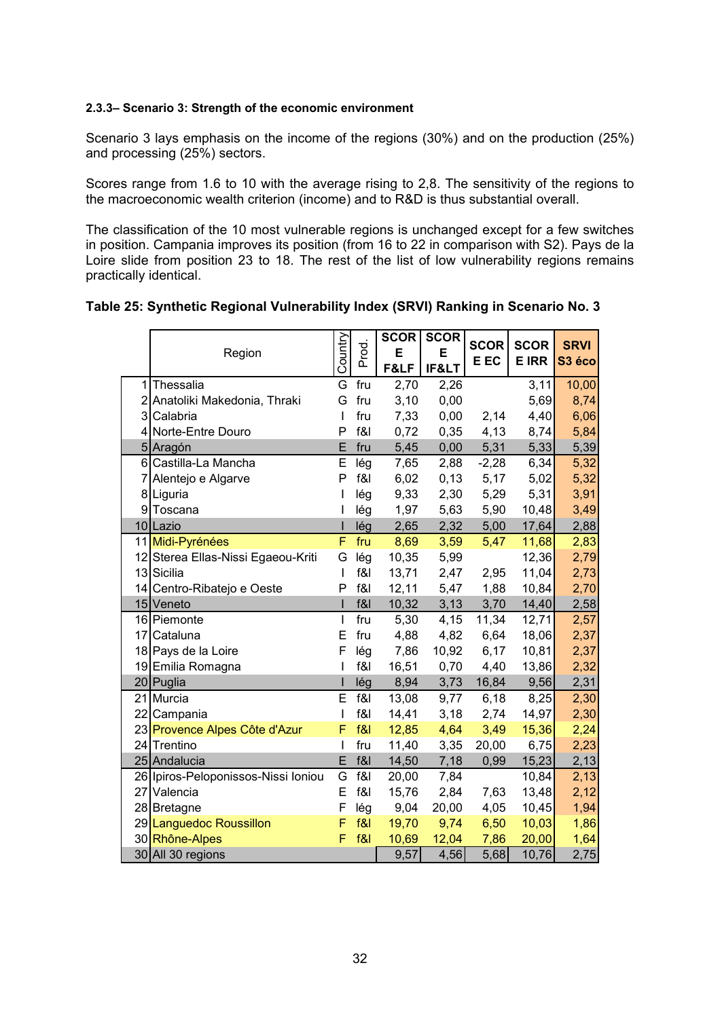#### **2.3.3– Scenario 3: Strength of the economic environment**

Scenario 3 lays emphasis on the income of the regions (30%) and on the production (25%) and processing (25%) sectors.

Scores range from 1.6 to 10 with the average rising to 2,8. The sensitivity of the regions to the macroeconomic wealth criterion (income) and to R&D is thus substantial overall.

The classification of the 10 most vulnerable regions is unchanged except for a few switches in position. Campania improves its position (from 16 to 22 in comparison with S2). Pays de la Loire slide from position 23 to 18. The rest of the list of low vulnerability regions remains practically identical.

|  |  | Table 25: Synthetic Regional Vulnerability Index (SRVI) Ranking in Scenario No. 3 |
|--|--|-----------------------------------------------------------------------------------|
|  |  |                                                                                   |

|                |                                     |              |       | SCOR  | <b>SCOR</b> |         |              |                    |
|----------------|-------------------------------------|--------------|-------|-------|-------------|---------|--------------|--------------------|
|                | Region                              | Country      | Prod. | E     | E           | SCOR    | <b>SCOR</b>  | <b>SRVI</b>        |
|                |                                     |              |       | F&LF  | IF<         | E EC    | <b>E IRR</b> | S <sub>3</sub> éco |
| 1              | Thessalia                           | G            | fru   | 2,70  | 2,26        |         | 3,11         | 10,00              |
| 2              | Anatoliki Makedonia, Thraki         | G            | fru   | 3,10  | 0,00        |         | 5,69         | 8,74               |
| $\overline{3}$ | Calabria                            | I            | fru   | 7,33  | 0,00        | 2,14    | 4,40         | 6,06               |
| 4              | Norte-Entre Douro                   | P            | f&I   | 0,72  | 0,35        | 4,13    | 8,74         | 5,84               |
|                | 5 Aragón                            | E            | fru   | 5,45  | 0,00        | 5,31    | 5,33         | 5,39               |
| $6 \mid$       | Castilla-La Mancha                  | E            | lég   | 7,65  | 2,88        | $-2,28$ | 6,34         | 5,32               |
| 7              | Alentejo e Algarve                  | P            | f&I   | 6,02  | 0,13        | 5,17    | 5,02         | 5,32               |
|                | 8 Liguria                           |              | lég   | 9,33  | 2,30        | 5,29    | 5,31         | 3,91               |
| 9              | Toscana                             |              | lég   | 1,97  | 5,63        | 5,90    | 10,48        | 3,49               |
|                | 10 Lazio                            |              | lég   | 2,65  | 2,32        | 5,00    | 17,64        | 2,88               |
|                | 11 Midi-Pyrénées                    | F            | fru   | 8,69  | 3,59        | 5,47    | 11,68        | 2,83               |
|                | 12 Sterea Ellas-Nissi Egaeou-Kriti  | G            | lég   | 10,35 | 5,99        |         | 12,36        | 2,79               |
|                | 13 Sicilia                          | $\mathbf{I}$ | f&    | 13,71 | 2,47        | 2,95    | 11,04        | 2,73               |
|                | 14 Centro-Ribatejo e Oeste          | P            | f&    | 12,11 | 5,47        | 1,88    | 10,84        | 2,70               |
|                | 15 Veneto                           |              | f&    | 10,32 | 3,13        | 3,70    | 14,40        | 2,58               |
|                | 16 Piemonte                         | T            | fru   | 5,30  | 4,15        | 11,34   | 12,71        | 2,57               |
|                | 17 Cataluna                         | E            | fru   | 4,88  | 4,82        | 6,64    | 18,06        | 2,37               |
|                | 18 Pays de la Loire                 | F            | lég   | 7,86  | 10,92       | 6,17    | 10,81        | 2,37               |
|                | 19 Emilia Romagna                   |              | f&I   | 16,51 | 0,70        | 4,40    | 13,86        | 2,32               |
|                | 20 Puglia                           |              | lég   | 8,94  | 3,73        | 16,84   | 9,56         | 2,31               |
|                | 21 Murcia                           | E            | f&l   | 13,08 | 9,77        | 6,18    | 8,25         | 2,30               |
|                | 22 Campania                         | I            | f&    | 14,41 | 3,18        | 2,74    | 14,97        | 2,30               |
|                | 23 Provence Alpes Côte d'Azur       | F            | f&l   | 12,85 | 4,64        | 3,49    | 15,36        | 2,24               |
|                | 24 Trentino                         | I            | fru   | 11,40 | 3,35        | 20,00   | 6,75         | 2,23               |
|                | 25 Andalucia                        | E            | f&    | 14,50 | 7,18        | 0,99    | 15,23        | 2,13               |
|                | 26 Ipiros-Peloponissos-Nissi Ioniou | G            | f&l   | 20,00 | 7,84        |         | 10,84        | 2,13               |
|                | 27 Valencia                         | E            | f&    | 15,76 | 2,84        | 7,63    | 13,48        | 2,12               |
|                | 28 Bretagne                         | F            | lég   | 9,04  | 20,00       | 4,05    | 10,45        | 1,94               |
|                | 29 Languedoc Roussillon             | F            | f&l   | 19,70 | 9,74        | 6,50    | 10,03        | 1,86               |
|                | 30 Rhône-Alpes                      | F            | f&l   | 10,69 | 12,04       | 7,86    | 20,00        | 1,64               |
|                | 30 All 30 regions                   |              |       | 9,57  | 4,56        | 5,68    | 10,76        | 2,75               |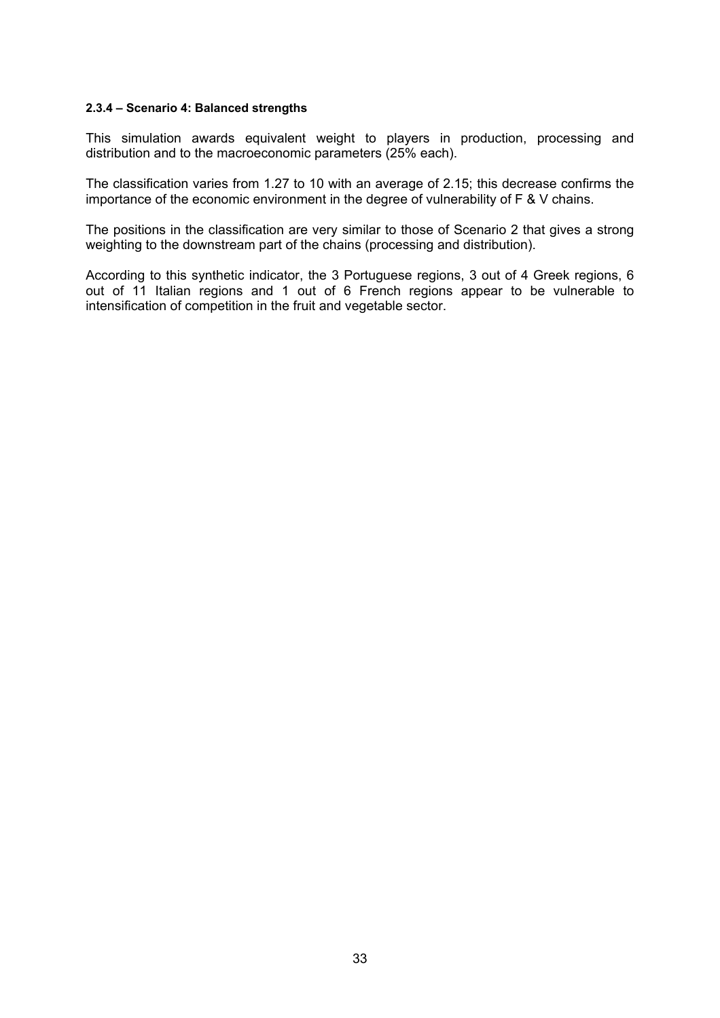#### **2.3.4 – Scenario 4: Balanced strengths**

This simulation awards equivalent weight to players in production, processing and distribution and to the macroeconomic parameters (25% each).

The classification varies from 1.27 to 10 with an average of 2.15; this decrease confirms the importance of the economic environment in the degree of vulnerability of F & V chains.

The positions in the classification are very similar to those of Scenario 2 that gives a strong weighting to the downstream part of the chains (processing and distribution).

According to this synthetic indicator, the 3 Portuguese regions, 3 out of 4 Greek regions, 6 out of 11 Italian regions and 1 out of 6 French regions appear to be vulnerable to intensification of competition in the fruit and vegetable sector.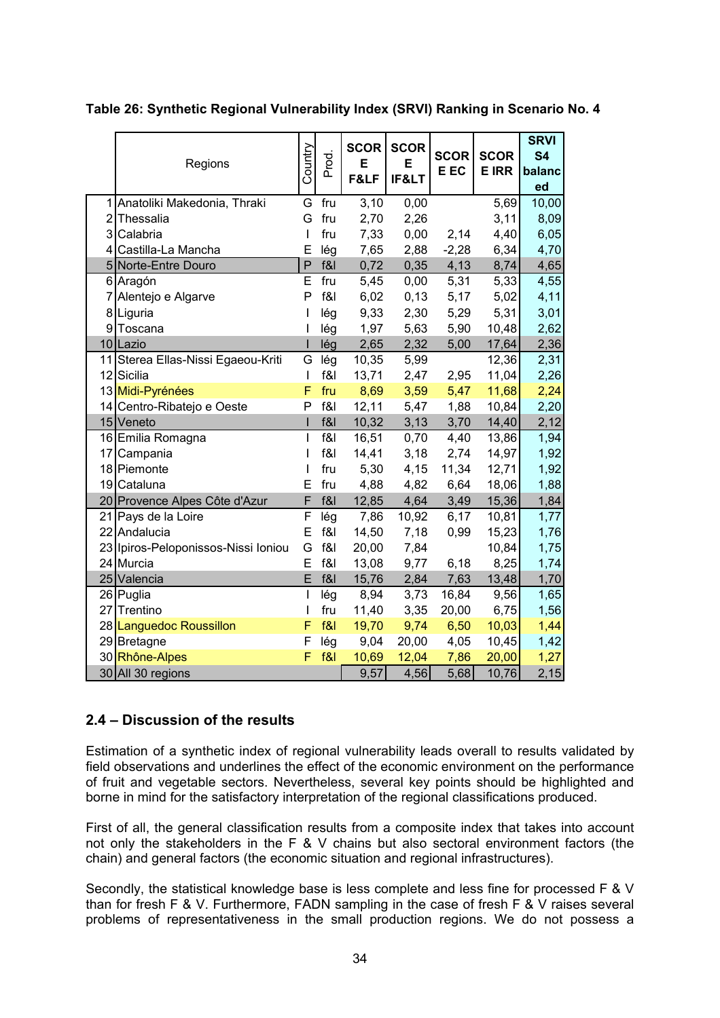|                | Regions                             | Country                  | Prod.  | SCOR<br>Е<br>F&LF | <b>SCOR</b><br>Е<br>IF< | <b>SCOR</b><br>E EC | <b>SCOR</b><br><b>E IRR</b> | <b>SRVI</b><br><b>S4</b><br>balanc<br>ed |
|----------------|-------------------------------------|--------------------------|--------|-------------------|-------------------------|---------------------|-----------------------------|------------------------------------------|
|                | 1 Anatoliki Makedonia, Thraki       | G                        | fru    | 3,10              | 0,00                    |                     | 5,69                        | 10,00                                    |
| $\overline{2}$ | Thessalia                           | G                        | fru    | 2,70              | 2,26                    |                     | 3,11                        | 8,09                                     |
| 3              | Calabria                            | I                        | fru    | 7,33              | 0,00                    | 2,14                | 4,40                        | 6,05                                     |
| 4              | Castilla-La Mancha                  | Ė                        | lég    | 7,65              | 2,88                    | $-2,28$             | 6,34                        | 4,70                                     |
| 5              | Norte-Entre Douro                   | P                        | f&I    | 0,72              | 0,35                    | 4,13                | 8,74                        | 4,65                                     |
|                | 6 Aragón                            | E                        | fru    | 5,45              | 0,00                    | 5,31                | 5,33                        | 4,55                                     |
| 7              | Alentejo e Algarve                  | P                        | f8     | 6,02              | 0,13                    | 5,17                | 5,02                        | 4,11                                     |
|                | 8 Liguria                           | $\overline{\phantom{a}}$ | lég    | 9,33              | 2,30                    | 5,29                | 5,31                        | 3,01                                     |
| 9              | Toscana                             | I                        | lég    | 1,97              | 5,63                    | 5,90                | 10,48                       | 2,62                                     |
|                | 10 Lazio                            | $\mathbf I$              | lég    | 2,65              | 2,32                    | 5,00                | 17,64                       | 2,36                                     |
| 11             | Sterea Ellas-Nissi Egaeou-Kriti     | G                        | lég    | 10,35             | 5,99                    |                     | 12,36                       | 2,31                                     |
|                | 12 Sicilia                          | I                        | f&     | 13,71             | 2,47                    | 2,95                | 11,04                       | 2,26                                     |
|                | 13 Midi-Pyrénées                    | F                        | fru    | 8,69              | 3,59                    | 5,47                | 11,68                       | 2,24                                     |
|                | 14 Centro-Ribatejo e Oeste          | P                        | f&I    | 12,11             | 5,47                    | 1,88                | 10,84                       | 2,20                                     |
|                | 15 Veneto                           | $\mathsf{I}$             | f&     | 10,32             | 3,13                    | 3,70                | 14,40                       | 2,12                                     |
|                | 16 Emilia Romagna                   | $\overline{1}$           | f&     | 16,51             | 0,70                    | 4,40                | 13,86                       | 1,94                                     |
|                | 17 Campania                         | T                        | f&     | 14,41             | 3,18                    | 2,74                | 14,97                       | 1,92                                     |
|                | 18 Piemonte                         | I                        | fru    | 5,30              | 4,15                    | 11,34               | 12,71                       | 1,92                                     |
|                | 19 Cataluna                         | E                        | fru    | 4,88              | 4,82                    | 6,64                | 18,06                       | 1,88                                     |
|                | 20 Provence Alpes Côte d'Azur       | F                        | f&l    | 12,85             | 4,64                    | 3,49                | 15,36                       | 1,84                                     |
| 21             | Pays de la Loire                    | F                        | lég    | 7,86              | 10,92                   | 6,17                | 10,81                       | 1,77                                     |
|                | 22 Andalucia                        | E                        | f&     | 14,50             | 7,18                    | 0,99                | 15,23                       | 1,76                                     |
|                | 23 Ipiros-Peloponissos-Nissi Ioniou | G                        | f&     | 20,00             | 7,84                    |                     | 10,84                       | 1,75                                     |
|                | 24 Murcia                           | E                        | $f$ &l | 13,08             | 9,77                    | 6,18                | 8,25                        | 1,74                                     |
|                | 25 Valencia                         | E                        | f&l    | 15,76             | 2,84                    | 7,63                | 13,48                       | 1,70                                     |
|                | 26 Puglia                           | $\overline{\phantom{a}}$ | lég    | 8,94              | 3,73                    | 16,84               | 9,56                        | 1,65                                     |
|                | 27 Trentino                         | I                        | fru    | 11,40             | 3,35                    | 20,00               | 6,75                        | 1,56                                     |
|                | 28 Languedoc Roussillon             | F                        | f&     | 19,70             | 9,74                    | 6,50                | 10,03                       | 1,44                                     |
|                | 29 Bretagne                         | F                        | lég    | 9,04              | 20,00                   | 4,05                | 10,45                       | 1,42                                     |
|                | 30 Rhône-Alpes                      | F                        | f&     | 10,69             | 12,04                   | 7,86                | 20,00                       | 1,27                                     |
|                | 30 All 30 regions                   |                          |        | 9,57              | 4,56                    | 5,68                | 10,76                       | 2,15                                     |

**Table 26: Synthetic Regional Vulnerability Index (SRVI) Ranking in Scenario No. 4** 

# **2.4 – Discussion of the results**

Estimation of a synthetic index of regional vulnerability leads overall to results validated by field observations and underlines the effect of the economic environment on the performance of fruit and vegetable sectors. Nevertheless, several key points should be highlighted and borne in mind for the satisfactory interpretation of the regional classifications produced.

First of all, the general classification results from a composite index that takes into account not only the stakeholders in the F & V chains but also sectoral environment factors (the chain) and general factors (the economic situation and regional infrastructures).

Secondly, the statistical knowledge base is less complete and less fine for processed F & V than for fresh F & V. Furthermore, FADN sampling in the case of fresh F & V raises several problems of representativeness in the small production regions. We do not possess a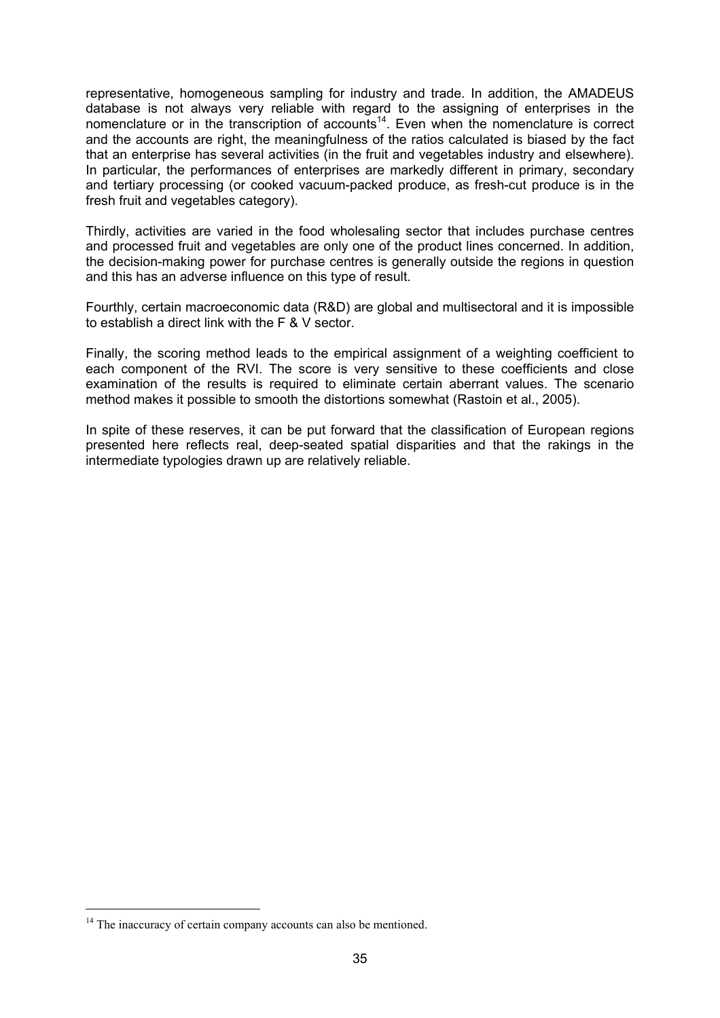representative, homogeneous sampling for industry and trade. In addition, the AMADEUS database is not always very reliable with regard to the assigning of enterprises in the nomenclature or in the transcription of accounts<sup>14</sup>. Even when the nomenclature is correct and the accounts are right, the meaningfulness of the ratios calculated is biased by the fact that an enterprise has several activities (in the fruit and vegetables industry and elsewhere). In particular, the performances of enterprises are markedly different in primary, secondary and tertiary processing (or cooked vacuum-packed produce, as fresh-cut produce is in the fresh fruit and vegetables category).

Thirdly, activities are varied in the food wholesaling sector that includes purchase centres and processed fruit and vegetables are only one of the product lines concerned. In addition, the decision-making power for purchase centres is generally outside the regions in question and this has an adverse influence on this type of result.

Fourthly, certain macroeconomic data (R&D) are global and multisectoral and it is impossible to establish a direct link with the F & V sector.

Finally, the scoring method leads to the empirical assignment of a weighting coefficient to each component of the RVI. The score is very sensitive to these coefficients and close examination of the results is required to eliminate certain aberrant values. The scenario method makes it possible to smooth the distortions somewhat (Rastoin et al., 2005).

In spite of these reserves, it can be put forward that the classification of European regions presented here reflects real, deep-seated spatial disparities and that the rakings in the intermediate typologies drawn up are relatively reliable.

<sup>&</sup>lt;sup>14</sup> The inaccuracy of certain company accounts can also be mentioned.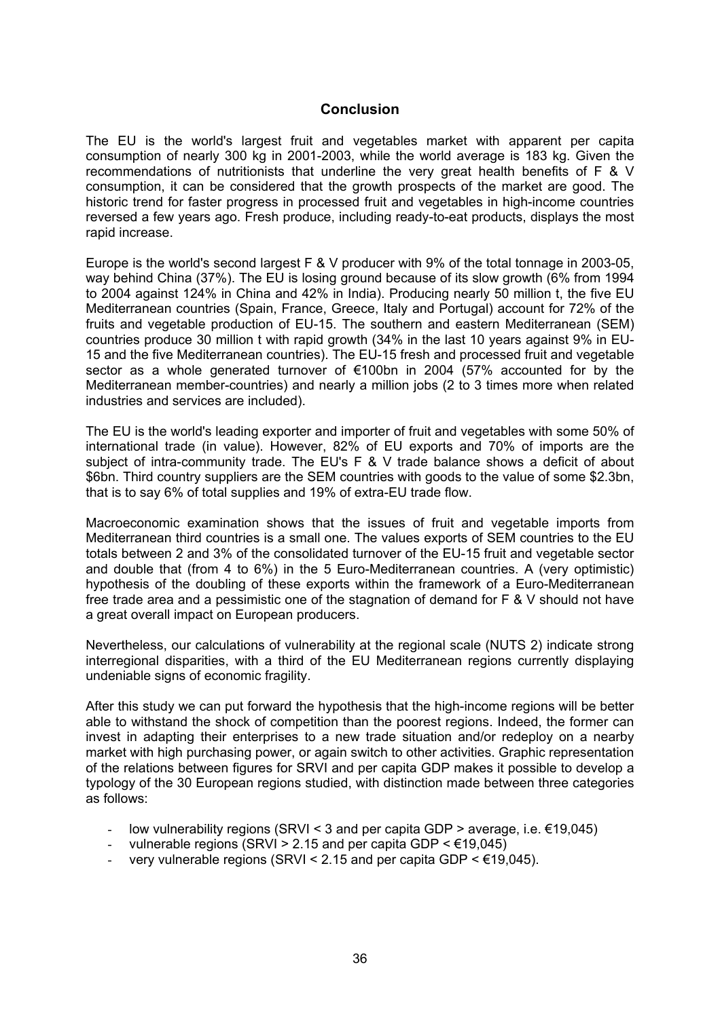### **Conclusion**

The EU is the world's largest fruit and vegetables market with apparent per capita consumption of nearly 300 kg in 2001-2003, while the world average is 183 kg. Given the recommendations of nutritionists that underline the very great health benefits of F & V consumption, it can be considered that the growth prospects of the market are good. The historic trend for faster progress in processed fruit and vegetables in high-income countries reversed a few years ago. Fresh produce, including ready-to-eat products, displays the most rapid increase.

Europe is the world's second largest F & V producer with 9% of the total tonnage in 2003-05, way behind China (37%). The EU is losing ground because of its slow growth (6% from 1994 to 2004 against 124% in China and 42% in India). Producing nearly 50 million t, the five EU Mediterranean countries (Spain, France, Greece, Italy and Portugal) account for 72% of the fruits and vegetable production of EU-15. The southern and eastern Mediterranean (SEM) countries produce 30 million t with rapid growth (34% in the last 10 years against 9% in EU-15 and the five Mediterranean countries). The EU-15 fresh and processed fruit and vegetable sector as a whole generated turnover of €100bn in 2004 (57% accounted for by the Mediterranean member-countries) and nearly a million jobs (2 to 3 times more when related industries and services are included).

The EU is the world's leading exporter and importer of fruit and vegetables with some 50% of international trade (in value). However, 82% of EU exports and 70% of imports are the subject of intra-community trade. The EU's F & V trade balance shows a deficit of about \$6bn. Third country suppliers are the SEM countries with goods to the value of some \$2.3bn, that is to say 6% of total supplies and 19% of extra-EU trade flow.

Macroeconomic examination shows that the issues of fruit and vegetable imports from Mediterranean third countries is a small one. The values exports of SEM countries to the EU totals between 2 and 3% of the consolidated turnover of the EU-15 fruit and vegetable sector and double that (from 4 to 6%) in the 5 Euro-Mediterranean countries. A (very optimistic) hypothesis of the doubling of these exports within the framework of a Euro-Mediterranean free trade area and a pessimistic one of the stagnation of demand for F & V should not have a great overall impact on European producers.

Nevertheless, our calculations of vulnerability at the regional scale (NUTS 2) indicate strong interregional disparities, with a third of the EU Mediterranean regions currently displaying undeniable signs of economic fragility.

After this study we can put forward the hypothesis that the high-income regions will be better able to withstand the shock of competition than the poorest regions. Indeed, the former can invest in adapting their enterprises to a new trade situation and/or redeploy on a nearby market with high purchasing power, or again switch to other activities. Graphic representation of the relations between figures for SRVI and per capita GDP makes it possible to develop a typology of the 30 European regions studied, with distinction made between three categories as follows:

- low vulnerability regions (SRVI < 3 and per capita GDP > average, i.e.  $\epsilon$ 19,045)
- vulnerable regions (SRVI > 2.15 and per capita GDP  $\leq \text{\textsterling}19.045$ )
- very vulnerable regions (SRVI < 2.15 and per capita GDP <  $€19,045$ ).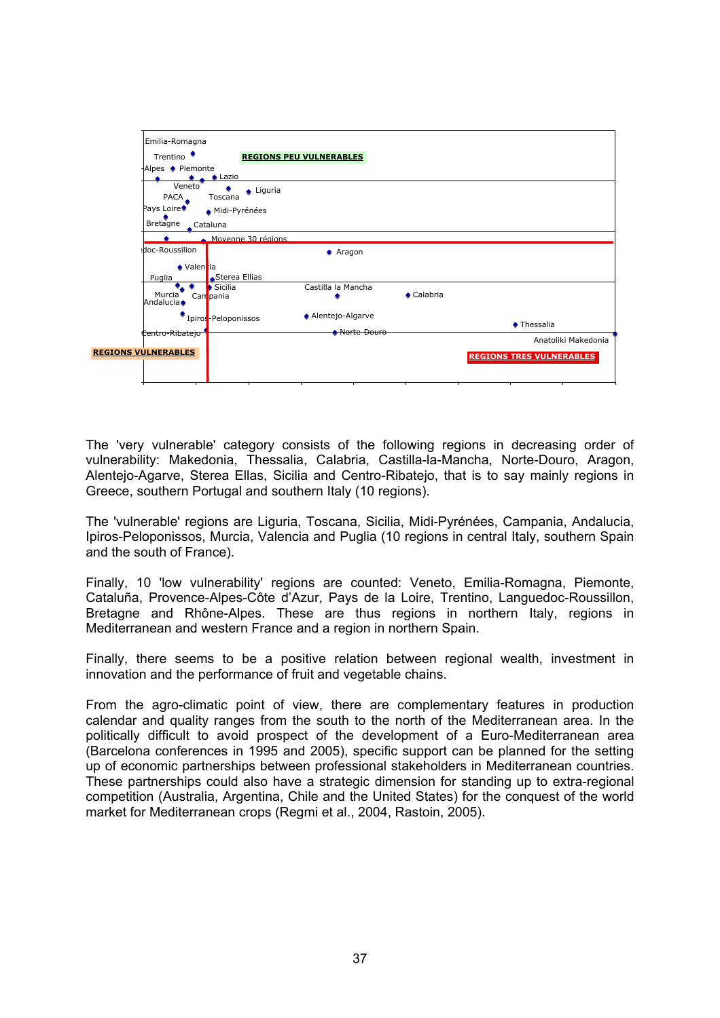

The 'very vulnerable' category consists of the following regions in decreasing order of vulnerability: Makedonia, Thessalia, Calabria, Castilla-la-Mancha, Norte-Douro, Aragon, Alentejo-Agarve, Sterea Ellas, Sicilia and Centro-Ribatejo, that is to say mainly regions in Greece, southern Portugal and southern Italy (10 regions).

The 'vulnerable' regions are Liguria, Toscana, Sicilia, Midi-Pyrénées, Campania, Andalucia, Ipiros-Peloponissos, Murcia, Valencia and Puglia (10 regions in central Italy, southern Spain and the south of France).

Finally, 10 'low vulnerability' regions are counted: Veneto, Emilia-Romagna, Piemonte, Cataluña, Provence-Alpes-Côte d'Azur, Pays de la Loire, Trentino, Languedoc-Roussillon, Bretagne and Rhône-Alpes. These are thus regions in northern Italy, regions in Mediterranean and western France and a region in northern Spain.

Finally, there seems to be a positive relation between regional wealth, investment in innovation and the performance of fruit and vegetable chains.

From the agro-climatic point of view, there are complementary features in production calendar and quality ranges from the south to the north of the Mediterranean area. In the politically difficult to avoid prospect of the development of a Euro-Mediterranean area (Barcelona conferences in 1995 and 2005), specific support can be planned for the setting up of economic partnerships between professional stakeholders in Mediterranean countries. These partnerships could also have a strategic dimension for standing up to extra-regional competition (Australia, Argentina, Chile and the United States) for the conquest of the world market for Mediterranean crops (Regmi et al., 2004, Rastoin, 2005).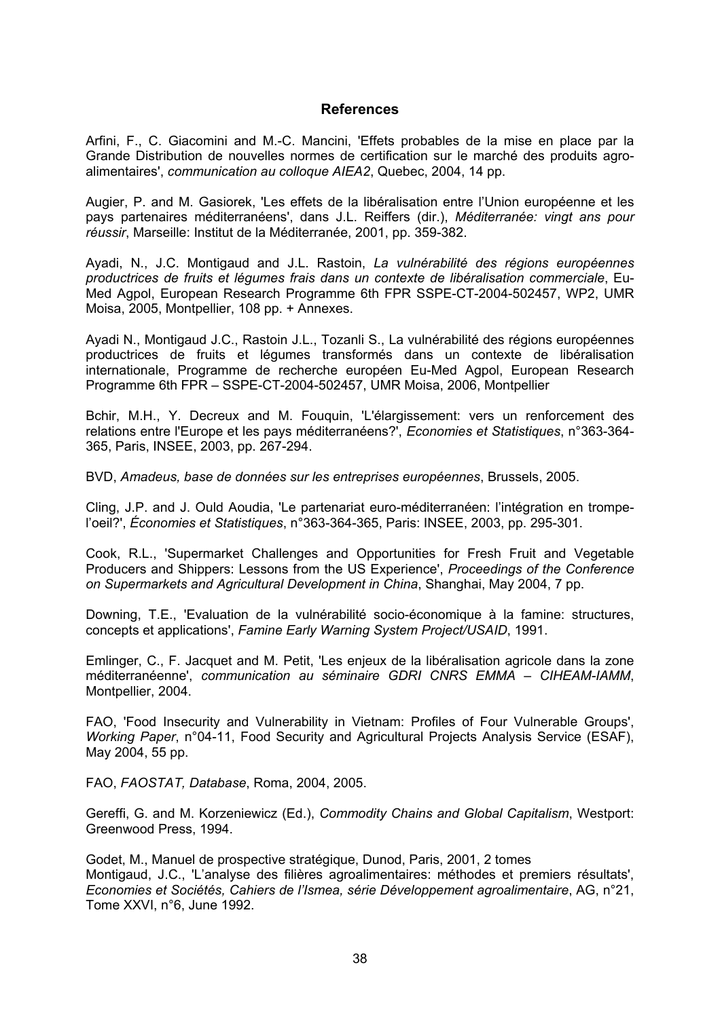#### **References**

Arfini, F., C. Giacomini and M.-C. Mancini, 'Effets probables de la mise en place par la Grande Distribution de nouvelles normes de certification sur le marché des produits agroalimentaires', *communication au colloque AIEA2*, Quebec, 2004, 14 pp.

Augier, P. and M. Gasiorek, 'Les effets de la libéralisation entre l'Union européenne et les pays partenaires méditerranéens', dans J.L. Reiffers (dir.), *Méditerranée: vingt ans pour réussir*, Marseille: Institut de la Méditerranée, 2001, pp. 359-382.

Ayadi, N., J.C. Montigaud and J.L. Rastoin, *La vulnérabilité des régions européennes productrices de fruits et légumes frais dans un contexte de libéralisation commerciale*, Eu-Med Agpol, European Research Programme 6th FPR SSPE-CT-2004-502457, WP2, UMR Moisa, 2005, Montpellier, 108 pp. + Annexes.

Ayadi N., Montigaud J.C., Rastoin J.L., Tozanli S., La vulnérabilité des régions européennes productrices de fruits et légumes transformés dans un contexte de libéralisation internationale, Programme de recherche européen Eu-Med Agpol, European Research Programme 6th FPR – SSPE-CT-2004-502457, UMR Moisa, 2006, Montpellier

Bchir, M.H., Y. Decreux and M. Fouquin, 'L'élargissement: vers un renforcement des relations entre l'Europe et les pays méditerranéens?', *Economies et Statistiques*, n°363-364- 365, Paris, INSEE, 2003, pp. 267-294.

BVD, *Amadeus, base de données sur les entreprises européennes*, Brussels, 2005.

Cling, J.P. and J. Ould Aoudia, 'Le partenariat euro-méditerranéen: l'intégration en trompel'oeil?', *Économies et Statistiques*, n°363-364-365, Paris: INSEE, 2003, pp. 295-301.

Cook, R.L., 'Supermarket Challenges and Opportunities for Fresh Fruit and Vegetable Producers and Shippers: Lessons from the US Experience', *Proceedings of the Conference on Supermarkets and Agricultural Development in China*, Shanghai, May 2004, 7 pp.

Downing, T.E., 'Evaluation de la vulnérabilité socio-économique à la famine: structures, concepts et applications', *Famine Early Warning System Project/USAID*, 1991.

Emlinger, C., F. Jacquet and M. Petit, 'Les enjeux de la libéralisation agricole dans la zone méditerranéenne', *communication au séminaire GDRI CNRS EMMA – CIHEAM-IAMM*, Montpellier, 2004.

FAO, 'Food Insecurity and Vulnerability in Vietnam: Profiles of Four Vulnerable Groups', *Working Paper*, n°04-11, Food Security and Agricultural Projects Analysis Service (ESAF), May 2004, 55 pp.

FAO, *FAOSTAT, Database*, Roma, 2004, 2005.

Gereffi, G. and M. Korzeniewicz (Ed.), *Commodity Chains and Global Capitalism*, Westport: Greenwood Press, 1994.

Godet, M., Manuel de prospective stratégique, Dunod, Paris, 2001, 2 tomes Montigaud, J.C., 'L'analyse des filières agroalimentaires: méthodes et premiers résultats', *Economies et Sociétés, Cahiers de l'Ismea, série Développement agroalimentaire*, AG, n°21, Tome XXVI, n°6, June 1992.